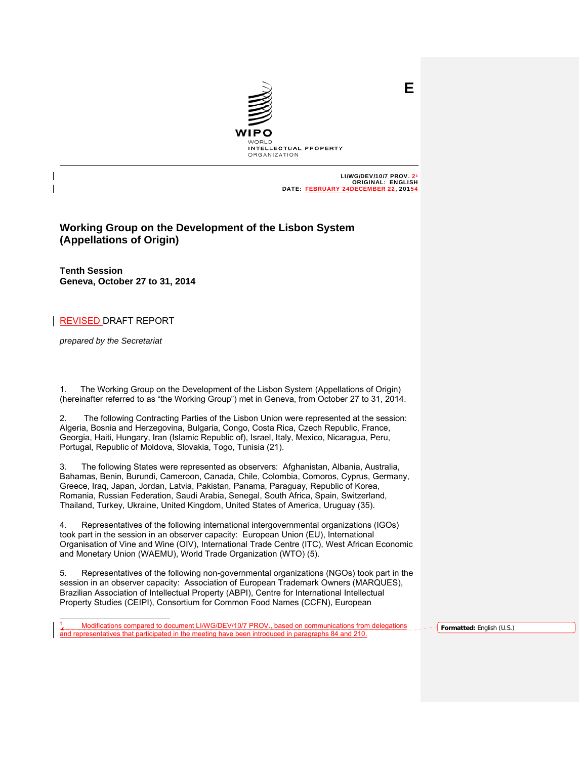

 LI/WG/DEV/10/7 PROV. 21 ORIGINAL: ENGLISH DATE: FEBRUARY 24DECEMBER 22, 20154

**E**

# **Working Group on the Development of the Lisbon System (Appellations of Origin)**

**Tenth Session Geneva, October 27 to 31, 2014**

# REVISED DRAFT REPORT

*prepared by the Secretariat* 

l

1. The Working Group on the Development of the Lisbon System (Appellations of Origin) (hereinafter referred to as "the Working Group") met in Geneva, from October 27 to 31, 2014.

2. The following Contracting Parties of the Lisbon Union were represented at the session: Algeria, Bosnia and Herzegovina, Bulgaria, Congo, Costa Rica, Czech Republic, France, Georgia, Haiti, Hungary, Iran (Islamic Republic of), Israel, Italy, Mexico, Nicaragua, Peru, Portugal, Republic of Moldova, Slovakia, Togo, Tunisia (21).

3. The following States were represented as observers: Afghanistan, Albania, Australia, Bahamas, Benin, Burundi, Cameroon, Canada, Chile, Colombia, Comoros, Cyprus, Germany, Greece, Iraq, Japan, Jordan, Latvia, Pakistan, Panama, Paraguay, Republic of Korea, Romania, Russian Federation, Saudi Arabia, Senegal, South Africa, Spain, Switzerland, Thailand, Turkey, Ukraine, United Kingdom, United States of America, Uruguay (35).

4. Representatives of the following international intergovernmental organizations (IGOs) took part in the session in an observer capacity: European Union (EU), International Organisation of Vine and Wine (OIV), International Trade Centre (ITC), West African Economic and Monetary Union (WAEMU), World Trade Organization (WTO) (5).

5. Representatives of the following non-governmental organizations (NGOs) took part in the session in an observer capacity: Association of European Trademark Owners (MARQUES), Brazilian Association of Intellectual Property (ABPI), Centre for International Intellectual Property Studies (CEIPI), Consortium for Common Food Names (CCFN), European

1 . Modifications compared to document LI/WG/DEV/10/7 PROV., based on communications from delegations and representatives that participated in the meeting have been introduced in paragraphs 84 and 210.

**Formatted:** English (U.S.)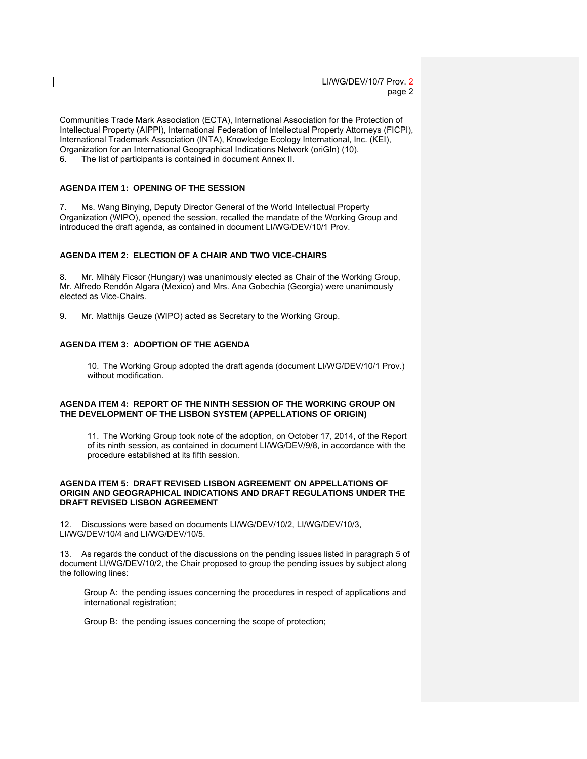Communities Trade Mark Association (ECTA), International Association for the Protection of Intellectual Property (AIPPI), International Federation of Intellectual Property Attorneys (FICPI), International Trademark Association (INTA), Knowledge Ecology International, Inc. (KEI), Organization for an International Geographical Indications Network (oriGIn) (10). 6. The list of participants is contained in document Annex II.

# **AGENDA ITEM 1: OPENING OF THE SESSION**

7. Ms. Wang Binying, Deputy Director General of the World Intellectual Property Organization (WIPO), opened the session, recalled the mandate of the Working Group and introduced the draft agenda, as contained in document LI/WG/DEV/10/1 Prov.

### **AGENDA ITEM 2: ELECTION OF A CHAIR AND TWO VICE-CHAIRS**

8. Mr. Mihály Ficsor (Hungary) was unanimously elected as Chair of the Working Group, Mr. Alfredo Rendón Algara (Mexico) and Mrs. Ana Gobechia (Georgia) were unanimously elected as Vice-Chairs.

9. Mr. Matthijs Geuze (WIPO) acted as Secretary to the Working Group.

# **AGENDA ITEM 3: ADOPTION OF THE AGENDA**

 10. The Working Group adopted the draft agenda (document LI/WG/DEV/10/1 Prov.) without modification.

### **AGENDA ITEM 4: REPORT OF THE NINTH SESSION OF THE WORKING GROUP ON THE DEVELOPMENT OF THE LISBON SYSTEM (APPELLATIONS OF ORIGIN)**

11. The Working Group took note of the adoption, on October 17, 2014, of the Report of its ninth session, as contained in document LI/WG/DEV/9/8, in accordance with the procedure established at its fifth session.

#### **AGENDA ITEM 5: DRAFT REVISED LISBON AGREEMENT ON APPELLATIONS OF ORIGIN AND GEOGRAPHICAL INDICATIONS AND DRAFT REGULATIONS UNDER THE DRAFT REVISED LISBON AGREEMENT**

12. Discussions were based on documents LI/WG/DEV/10/2, LI/WG/DEV/10/3, LI/WG/DEV/10/4 and LI/WG/DEV/10/5.

13. As regards the conduct of the discussions on the pending issues listed in paragraph 5 of document LI/WG/DEV/10/2, the Chair proposed to group the pending issues by subject along the following lines:

Group A: the pending issues concerning the procedures in respect of applications and international registration;

Group B: the pending issues concerning the scope of protection;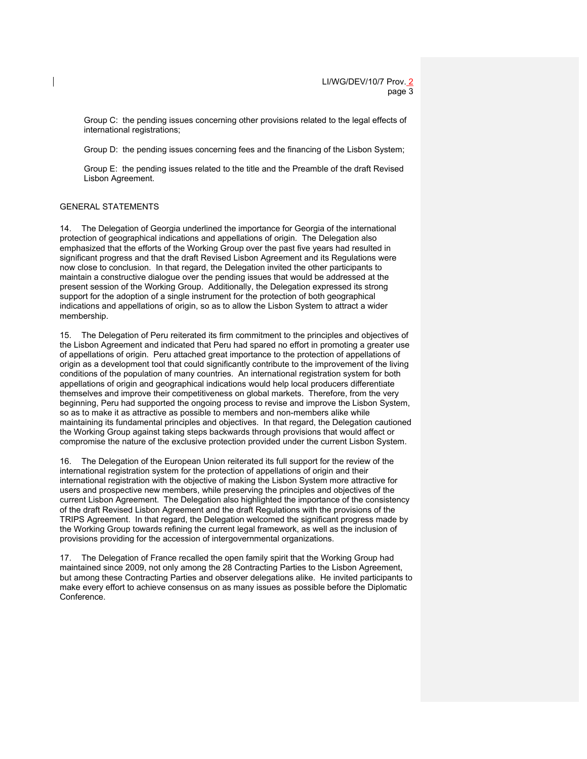Group C: the pending issues concerning other provisions related to the legal effects of international registrations;

Group D: the pending issues concerning fees and the financing of the Lisbon System;

Group E: the pending issues related to the title and the Preamble of the draft Revised Lisbon Agreement.

# GENERAL STATEMENTS

14. The Delegation of Georgia underlined the importance for Georgia of the international protection of geographical indications and appellations of origin. The Delegation also emphasized that the efforts of the Working Group over the past five years had resulted in significant progress and that the draft Revised Lisbon Agreement and its Regulations were now close to conclusion. In that regard, the Delegation invited the other participants to maintain a constructive dialogue over the pending issues that would be addressed at the present session of the Working Group. Additionally, the Delegation expressed its strong support for the adoption of a single instrument for the protection of both geographical indications and appellations of origin, so as to allow the Lisbon System to attract a wider membership.

15. The Delegation of Peru reiterated its firm commitment to the principles and objectives of the Lisbon Agreement and indicated that Peru had spared no effort in promoting a greater use of appellations of origin. Peru attached great importance to the protection of appellations of origin as a development tool that could significantly contribute to the improvement of the living conditions of the population of many countries. An international registration system for both appellations of origin and geographical indications would help local producers differentiate themselves and improve their competitiveness on global markets. Therefore, from the very beginning, Peru had supported the ongoing process to revise and improve the Lisbon System, so as to make it as attractive as possible to members and non-members alike while maintaining its fundamental principles and objectives. In that regard, the Delegation cautioned the Working Group against taking steps backwards through provisions that would affect or compromise the nature of the exclusive protection provided under the current Lisbon System.

16. The Delegation of the European Union reiterated its full support for the review of the international registration system for the protection of appellations of origin and their international registration with the objective of making the Lisbon System more attractive for users and prospective new members, while preserving the principles and objectives of the current Lisbon Agreement. The Delegation also highlighted the importance of the consistency of the draft Revised Lisbon Agreement and the draft Regulations with the provisions of the TRIPS Agreement. In that regard, the Delegation welcomed the significant progress made by the Working Group towards refining the current legal framework, as well as the inclusion of provisions providing for the accession of intergovernmental organizations.

17. The Delegation of France recalled the open family spirit that the Working Group had maintained since 2009, not only among the 28 Contracting Parties to the Lisbon Agreement, but among these Contracting Parties and observer delegations alike. He invited participants to make every effort to achieve consensus on as many issues as possible before the Diplomatic Conference.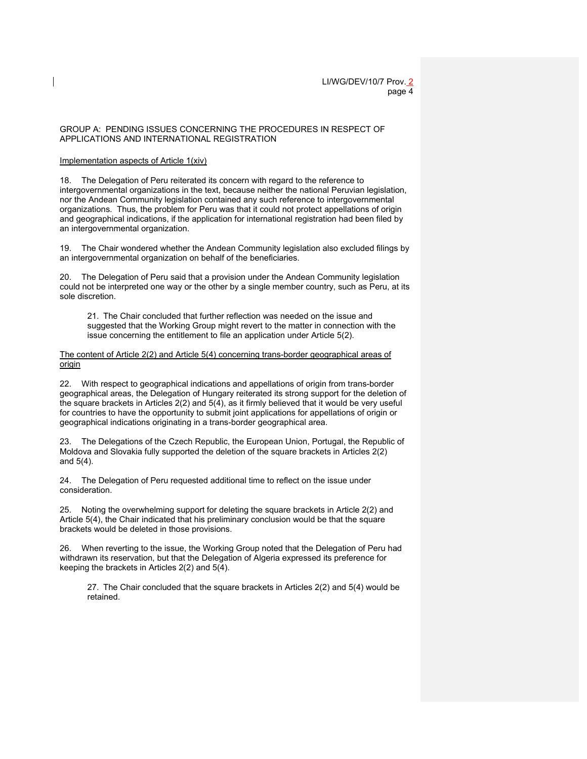### GROUP A: PENDING ISSUES CONCERNING THE PROCEDURES IN RESPECT OF APPLICATIONS AND INTERNATIONAL REGISTRATION

### Implementation aspects of Article 1(xiv)

18. The Delegation of Peru reiterated its concern with regard to the reference to intergovernmental organizations in the text, because neither the national Peruvian legislation, nor the Andean Community legislation contained any such reference to intergovernmental organizations. Thus, the problem for Peru was that it could not protect appellations of origin and geographical indications, if the application for international registration had been filed by an intergovernmental organization.

19. The Chair wondered whether the Andean Community legislation also excluded filings by an intergovernmental organization on behalf of the beneficiaries.

20. The Delegation of Peru said that a provision under the Andean Community legislation could not be interpreted one way or the other by a single member country, such as Peru, at its sole discretion.

21. The Chair concluded that further reflection was needed on the issue and suggested that the Working Group might revert to the matter in connection with the issue concerning the entitlement to file an application under Article 5(2).

The content of Article 2(2) and Article 5(4) concerning trans-border geographical areas of origin

22. With respect to geographical indications and appellations of origin from trans-border geographical areas, the Delegation of Hungary reiterated its strong support for the deletion of the square brackets in Articles 2(2) and 5(4), as it firmly believed that it would be very useful for countries to have the opportunity to submit joint applications for appellations of origin or geographical indications originating in a trans-border geographical area.

23. The Delegations of the Czech Republic, the European Union, Portugal, the Republic of Moldova and Slovakia fully supported the deletion of the square brackets in Articles 2(2) and 5(4).

24. The Delegation of Peru requested additional time to reflect on the issue under consideration.

25. Noting the overwhelming support for deleting the square brackets in Article 2(2) and Article 5(4), the Chair indicated that his preliminary conclusion would be that the square brackets would be deleted in those provisions.

26. When reverting to the issue, the Working Group noted that the Delegation of Peru had withdrawn its reservation, but that the Delegation of Algeria expressed its preference for keeping the brackets in Articles 2(2) and 5(4).

27. The Chair concluded that the square brackets in Articles 2(2) and 5(4) would be retained.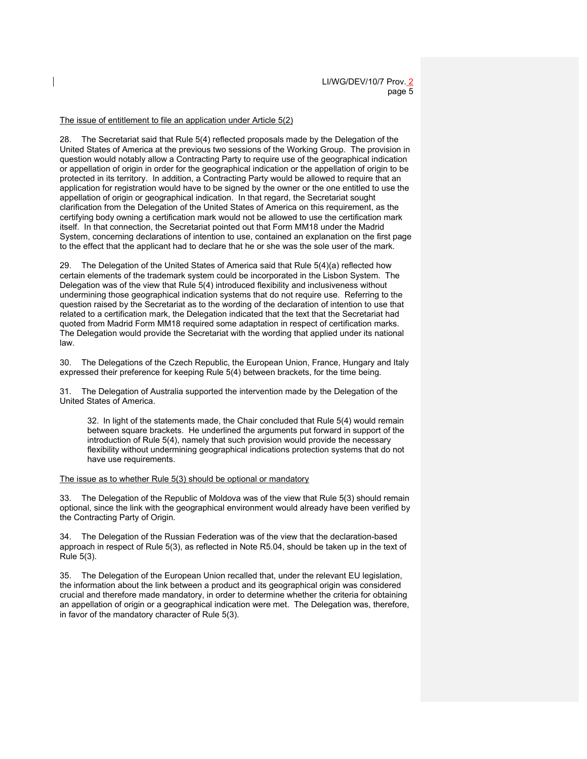### The issue of entitlement to file an application under Article 5(2)

28. The Secretariat said that Rule 5(4) reflected proposals made by the Delegation of the United States of America at the previous two sessions of the Working Group. The provision in question would notably allow a Contracting Party to require use of the geographical indication or appellation of origin in order for the geographical indication or the appellation of origin to be protected in its territory. In addition, a Contracting Party would be allowed to require that an application for registration would have to be signed by the owner or the one entitled to use the appellation of origin or geographical indication. In that regard, the Secretariat sought clarification from the Delegation of the United States of America on this requirement, as the certifying body owning a certification mark would not be allowed to use the certification mark itself. In that connection, the Secretariat pointed out that Form MM18 under the Madrid System, concerning declarations of intention to use, contained an explanation on the first page to the effect that the applicant had to declare that he or she was the sole user of the mark.

29. The Delegation of the United States of America said that Rule 5(4)(a) reflected how certain elements of the trademark system could be incorporated in the Lisbon System. The Delegation was of the view that Rule 5(4) introduced flexibility and inclusiveness without undermining those geographical indication systems that do not require use. Referring to the question raised by the Secretariat as to the wording of the declaration of intention to use that related to a certification mark, the Delegation indicated that the text that the Secretariat had quoted from Madrid Form MM18 required some adaptation in respect of certification marks. The Delegation would provide the Secretariat with the wording that applied under its national law.

30. The Delegations of the Czech Republic, the European Union, France, Hungary and Italy expressed their preference for keeping Rule 5(4) between brackets, for the time being.

31. The Delegation of Australia supported the intervention made by the Delegation of the United States of America.

32. In light of the statements made, the Chair concluded that Rule 5(4) would remain between square brackets. He underlined the arguments put forward in support of the introduction of Rule 5(4), namely that such provision would provide the necessary flexibility without undermining geographical indications protection systems that do not have use requirements.

The issue as to whether Rule 5(3) should be optional or mandatory

33. The Delegation of the Republic of Moldova was of the view that Rule 5(3) should remain optional, since the link with the geographical environment would already have been verified by the Contracting Party of Origin.

34. The Delegation of the Russian Federation was of the view that the declaration-based approach in respect of Rule 5(3), as reflected in Note R5.04, should be taken up in the text of Rule 5(3).

35. The Delegation of the European Union recalled that, under the relevant EU legislation, the information about the link between a product and its geographical origin was considered crucial and therefore made mandatory, in order to determine whether the criteria for obtaining an appellation of origin or a geographical indication were met. The Delegation was, therefore, in favor of the mandatory character of Rule 5(3).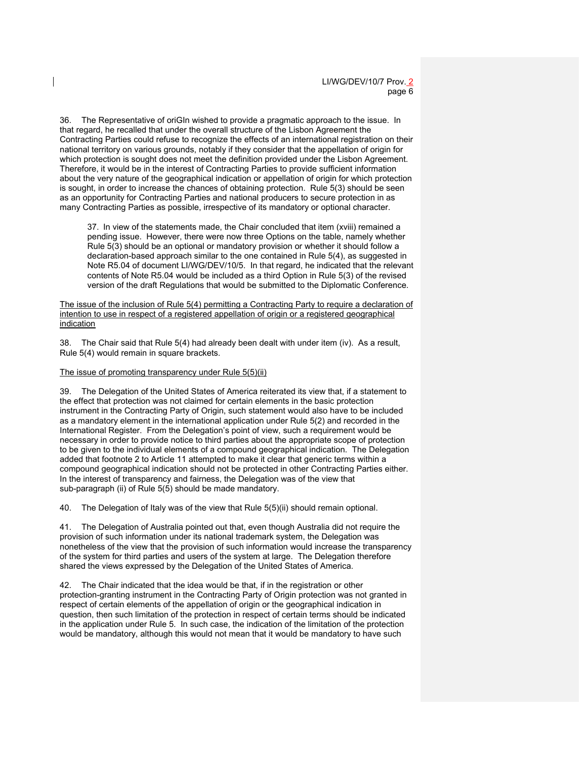36. The Representative of oriGIn wished to provide a pragmatic approach to the issue. In that regard, he recalled that under the overall structure of the Lisbon Agreement the Contracting Parties could refuse to recognize the effects of an international registration on their national territory on various grounds, notably if they consider that the appellation of origin for which protection is sought does not meet the definition provided under the Lisbon Agreement. Therefore, it would be in the interest of Contracting Parties to provide sufficient information about the very nature of the geographical indication or appellation of origin for which protection is sought, in order to increase the chances of obtaining protection. Rule 5(3) should be seen as an opportunity for Contracting Parties and national producers to secure protection in as many Contracting Parties as possible, irrespective of its mandatory or optional character.

37. In view of the statements made, the Chair concluded that item (xviii) remained a pending issue. However, there were now three Options on the table, namely whether Rule 5(3) should be an optional or mandatory provision or whether it should follow a declaration-based approach similar to the one contained in Rule 5(4), as suggested in Note R5.04 of document LI/WG/DEV/10/5. In that regard, he indicated that the relevant contents of Note R5.04 would be included as a third Option in Rule 5(3) of the revised version of the draft Regulations that would be submitted to the Diplomatic Conference.

The issue of the inclusion of Rule 5(4) permitting a Contracting Party to require a declaration of intention to use in respect of a registered appellation of origin or a registered geographical indication

38. The Chair said that Rule 5(4) had already been dealt with under item (iv). As a result, Rule 5(4) would remain in square brackets.

#### The issue of promoting transparency under Rule 5(5)(ii)

39. The Delegation of the United States of America reiterated its view that, if a statement to the effect that protection was not claimed for certain elements in the basic protection instrument in the Contracting Party of Origin, such statement would also have to be included as a mandatory element in the international application under Rule 5(2) and recorded in the International Register. From the Delegation's point of view, such a requirement would be necessary in order to provide notice to third parties about the appropriate scope of protection to be given to the individual elements of a compound geographical indication. The Delegation added that footnote 2 to Article 11 attempted to make it clear that generic terms within a compound geographical indication should not be protected in other Contracting Parties either. In the interest of transparency and fairness, the Delegation was of the view that sub-paragraph (ii) of Rule 5(5) should be made mandatory.

40. The Delegation of Italy was of the view that Rule 5(5)(ii) should remain optional.

41. The Delegation of Australia pointed out that, even though Australia did not require the provision of such information under its national trademark system, the Delegation was nonetheless of the view that the provision of such information would increase the transparency of the system for third parties and users of the system at large. The Delegation therefore shared the views expressed by the Delegation of the United States of America.

42. The Chair indicated that the idea would be that, if in the registration or other protection-granting instrument in the Contracting Party of Origin protection was not granted in respect of certain elements of the appellation of origin or the geographical indication in question, then such limitation of the protection in respect of certain terms should be indicated in the application under Rule 5. In such case, the indication of the limitation of the protection would be mandatory, although this would not mean that it would be mandatory to have such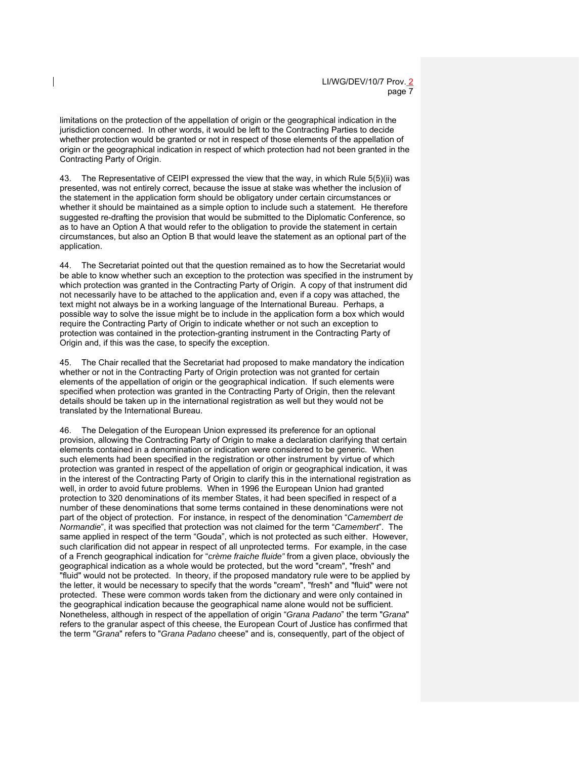limitations on the protection of the appellation of origin or the geographical indication in the jurisdiction concerned. In other words, it would be left to the Contracting Parties to decide whether protection would be granted or not in respect of those elements of the appellation of origin or the geographical indication in respect of which protection had not been granted in the Contracting Party of Origin.

43. The Representative of CEIPI expressed the view that the way, in which Rule 5(5)(ii) was presented, was not entirely correct, because the issue at stake was whether the inclusion of the statement in the application form should be obligatory under certain circumstances or whether it should be maintained as a simple option to include such a statement. He therefore suggested re-drafting the provision that would be submitted to the Diplomatic Conference, so as to have an Option A that would refer to the obligation to provide the statement in certain circumstances, but also an Option B that would leave the statement as an optional part of the application.

44. The Secretariat pointed out that the question remained as to how the Secretariat would be able to know whether such an exception to the protection was specified in the instrument by which protection was granted in the Contracting Party of Origin. A copy of that instrument did not necessarily have to be attached to the application and, even if a copy was attached, the text might not always be in a working language of the International Bureau. Perhaps, a possible way to solve the issue might be to include in the application form a box which would require the Contracting Party of Origin to indicate whether or not such an exception to protection was contained in the protection-granting instrument in the Contracting Party of Origin and, if this was the case, to specify the exception.

45. The Chair recalled that the Secretariat had proposed to make mandatory the indication whether or not in the Contracting Party of Origin protection was not granted for certain elements of the appellation of origin or the geographical indication. If such elements were specified when protection was granted in the Contracting Party of Origin, then the relevant details should be taken up in the international registration as well but they would not be translated by the International Bureau.

46. The Delegation of the European Union expressed its preference for an optional provision, allowing the Contracting Party of Origin to make a declaration clarifying that certain elements contained in a denomination or indication were considered to be generic. When such elements had been specified in the registration or other instrument by virtue of which protection was granted in respect of the appellation of origin or geographical indication, it was in the interest of the Contracting Party of Origin to clarify this in the international registration as well, in order to avoid future problems. When in 1996 the European Union had granted protection to 320 denominations of its member States, it had been specified in respect of a number of these denominations that some terms contained in these denominations were not part of the object of protection. For instance, in respect of the denomination "*Camembert de Normandie*", it was specified that protection was not claimed for the term "*Camembert*". The same applied in respect of the term "Gouda", which is not protected as such either. However, such clarification did not appear in respect of all unprotected terms. For example, in the case of a French geographical indication for "*crème fraiche fluide"* from a given place, obviously the geographical indication as a whole would be protected, but the word "cream", "fresh" and "fluid" would not be protected. In theory, if the proposed mandatory rule were to be applied by the letter, it would be necessary to specify that the words "cream", "fresh" and "fluid" were not protected. These were common words taken from the dictionary and were only contained in the geographical indication because the geographical name alone would not be sufficient. Nonetheless, although in respect of the appellation of origin "*Grana Padano*" the term "*Grana*" refers to the granular aspect of this cheese, the European Court of Justice has confirmed that the term "*Grana*" refers to "*Grana Padano* cheese" and is, consequently, part of the object of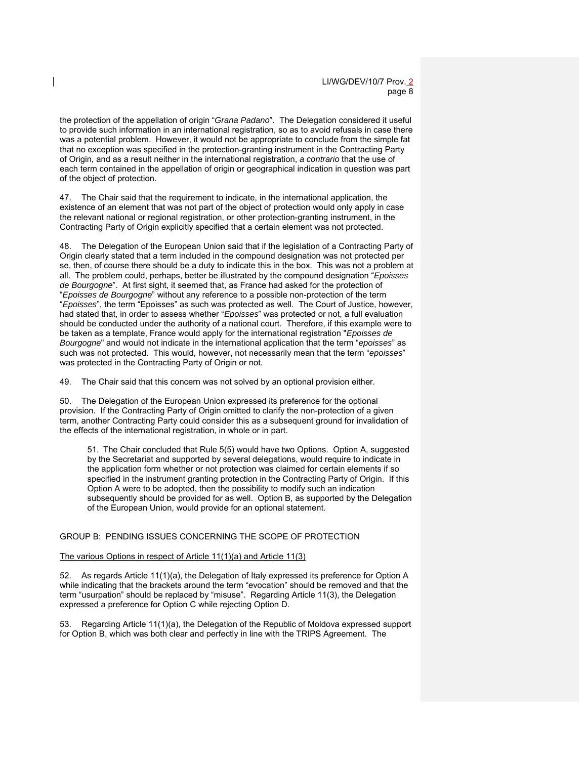the protection of the appellation of origin "*Grana Padano*". The Delegation considered it useful to provide such information in an international registration, so as to avoid refusals in case there was a potential problem. However, it would not be appropriate to conclude from the simple fat that no exception was specified in the protection-granting instrument in the Contracting Party of Origin, and as a result neither in the international registration, *a contrario* that the use of each term contained in the appellation of origin or geographical indication in question was part of the object of protection.

47. The Chair said that the requirement to indicate, in the international application, the existence of an element that was not part of the object of protection would only apply in case the relevant national or regional registration, or other protection-granting instrument, in the Contracting Party of Origin explicitly specified that a certain element was not protected.

48. The Delegation of the European Union said that if the legislation of a Contracting Party of Origin clearly stated that a term included in the compound designation was not protected per se, then, of course there should be a duty to indicate this in the box. This was not a problem at all. The problem could, perhaps, better be illustrated by the compound designation "*Epoisses de Bourgogne*". At first sight, it seemed that, as France had asked for the protection of "*Epoisses de Bourgogne*" without any reference to a possible non-protection of the term "*Epoisses*", the term "Epoisses" as such was protected as well. The Court of Justice, however, had stated that, in order to assess whether "*Epoisses*" was protected or not, a full evaluation should be conducted under the authority of a national court. Therefore, if this example were to be taken as a template, France would apply for the international registration "*Epoisses de Bourgogne*" and would not indicate in the international application that the term "*epoisses*" as such was not protected. This would, however, not necessarily mean that the term "*epoisses*" was protected in the Contracting Party of Origin or not.

49. The Chair said that this concern was not solved by an optional provision either.

50. The Delegation of the European Union expressed its preference for the optional provision. If the Contracting Party of Origin omitted to clarify the non-protection of a given term, another Contracting Party could consider this as a subsequent ground for invalidation of the effects of the international registration, in whole or in part.

51. The Chair concluded that Rule 5(5) would have two Options. Option A, suggested by the Secretariat and supported by several delegations, would require to indicate in the application form whether or not protection was claimed for certain elements if so specified in the instrument granting protection in the Contracting Party of Origin. If this Option A were to be adopted, then the possibility to modify such an indication subsequently should be provided for as well. Option B, as supported by the Delegation of the European Union, would provide for an optional statement.

# GROUP B: PENDING ISSUES CONCERNING THE SCOPE OF PROTECTION

#### The various Options in respect of Article 11(1)(a) and Article 11(3)

52. As regards Article 11(1)(a), the Delegation of Italy expressed its preference for Option A while indicating that the brackets around the term "evocation" should be removed and that the term "usurpation" should be replaced by "misuse". Regarding Article 11(3), the Delegation expressed a preference for Option C while rejecting Option D.

53. Regarding Article 11(1)(a), the Delegation of the Republic of Moldova expressed support for Option B, which was both clear and perfectly in line with the TRIPS Agreement. The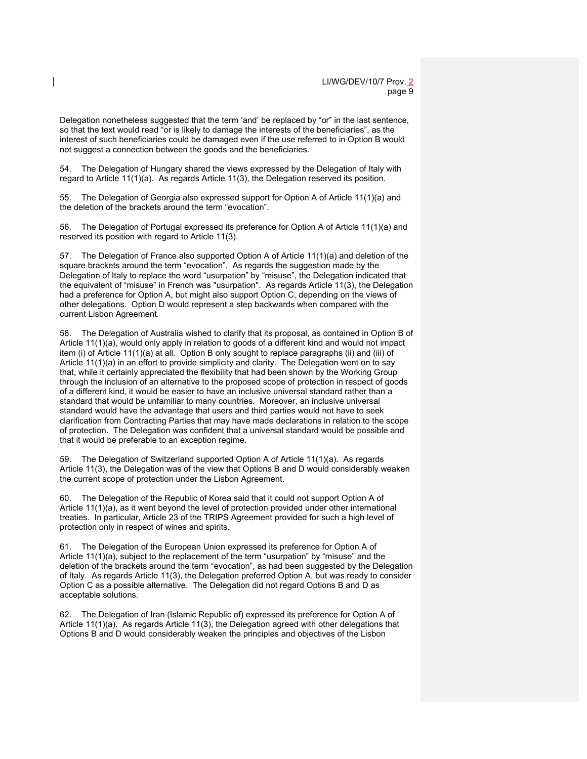Delegation nonetheless suggested that the term 'and' be replaced by "or" in the last sentence, so that the text would read "or is likely to damage the interests of the beneficiaries", as the interest of such beneficiaries could be damaged even if the use referred to in Option B would not suggest a connection between the goods and the beneficiaries.

54. The Delegation of Hungary shared the views expressed by the Delegation of Italy with regard to Article 11(1)(a). As regards Article 11(3), the Delegation reserved its position.

55. The Delegation of Georgia also expressed support for Option A of Article 11(1)(a) and the deletion of the brackets around the term "evocation".

56. The Delegation of Portugal expressed its preference for Option A of Article 11(1)(a) and reserved its position with regard to Article 11(3).

57. The Delegation of France also supported Option A of Article 11(1)(a) and deletion of the square brackets around the term "evocation". As regards the suggestion made by the Delegation of Italy to replace the word "usurpation" by "misuse", the Delegation indicated that the equivalent of "misuse" in French was "usurpation". As regards Article 11(3), the Delegation had a preference for Option A, but might also support Option C, depending on the views of other delegations. Option D would represent a step backwards when compared with the current Lisbon Agreement.

58. The Delegation of Australia wished to clarify that its proposal, as contained in Option B of Article 11(1)(a), would only apply in relation to goods of a different kind and would not impact item (i) of Article 11(1)(a) at all. Option B only sought to replace paragraphs (ii) and (iii) of Article 11(1)(a) in an effort to provide simplicity and clarity. The Delegation went on to say that, while it certainly appreciated the flexibility that had been shown by the Working Group through the inclusion of an alternative to the proposed scope of protection in respect of goods of a different kind, it would be easier to have an inclusive universal standard rather than a standard that would be unfamiliar to many countries. Moreover, an inclusive universal standard would have the advantage that users and third parties would not have to seek clarification from Contracting Parties that may have made declarations in relation to the scope of protection. The Delegation was confident that a universal standard would be possible and that it would be preferable to an exception regime.

59. The Delegation of Switzerland supported Option A of Article 11(1)(a). As regards Article 11(3), the Delegation was of the view that Options B and D would considerably weaken the current scope of protection under the Lisbon Agreement.

60. The Delegation of the Republic of Korea said that it could not support Option A of Article 11(1)(a), as it went beyond the level of protection provided under other international treaties. In particular, Article 23 of the TRIPS Agreement provided for such a high level of protection only in respect of wines and spirits.

61. The Delegation of the European Union expressed its preference for Option A of Article 11(1)(a), subject to the replacement of the term "usurpation" by "misuse" and the deletion of the brackets around the term "evocation", as had been suggested by the Delegation of Italy. As regards Article 11(3), the Delegation preferred Option A, but was ready to consider Option C as a possible alternative. The Delegation did not regard Options B and D as acceptable solutions.

62. The Delegation of Iran (Islamic Republic of) expressed its preference for Option A of Article 11(1)(a). As regards Article 11(3), the Delegation agreed with other delegations that Options B and D would considerably weaken the principles and objectives of the Lisbon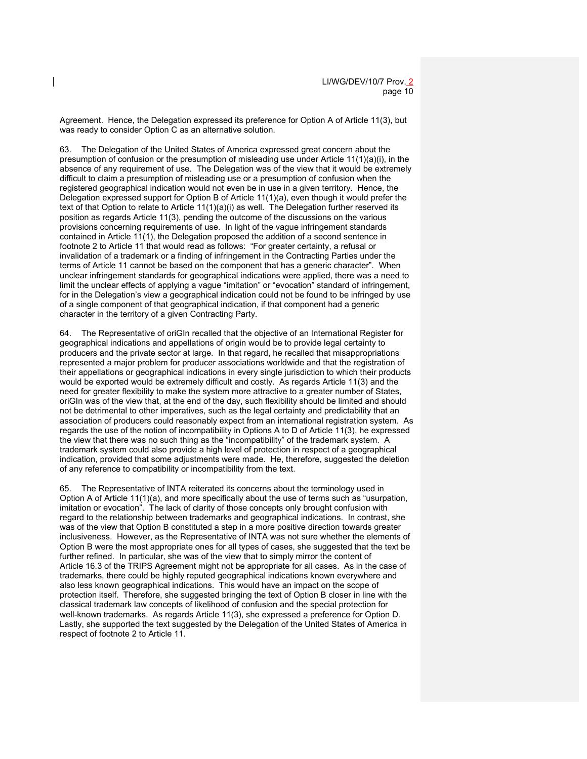Agreement. Hence, the Delegation expressed its preference for Option A of Article 11(3), but was ready to consider Option C as an alternative solution.

63. The Delegation of the United States of America expressed great concern about the presumption of confusion or the presumption of misleading use under Article 11(1)(a)(i), in the absence of any requirement of use. The Delegation was of the view that it would be extremely difficult to claim a presumption of misleading use or a presumption of confusion when the registered geographical indication would not even be in use in a given territory. Hence, the Delegation expressed support for Option B of Article 11(1)(a), even though it would prefer the text of that Option to relate to Article  $11(1)(a)(i)$  as well. The Delegation further reserved its position as regards Article 11(3), pending the outcome of the discussions on the various provisions concerning requirements of use. In light of the vague infringement standards contained in Article 11(1), the Delegation proposed the addition of a second sentence in footnote 2 to Article 11 that would read as follows: "For greater certainty, a refusal or invalidation of a trademark or a finding of infringement in the Contracting Parties under the terms of Article 11 cannot be based on the component that has a generic character". When unclear infringement standards for geographical indications were applied, there was a need to limit the unclear effects of applying a vague "imitation" or "evocation" standard of infringement, for in the Delegation's view a geographical indication could not be found to be infringed by use of a single component of that geographical indication, if that component had a generic character in the territory of a given Contracting Party.

64. The Representative of oriGIn recalled that the objective of an International Register for geographical indications and appellations of origin would be to provide legal certainty to producers and the private sector at large. In that regard, he recalled that misappropriations represented a major problem for producer associations worldwide and that the registration of their appellations or geographical indications in every single jurisdiction to which their products would be exported would be extremely difficult and costly. As regards Article 11(3) and the need for greater flexibility to make the system more attractive to a greater number of States, oriGIn was of the view that, at the end of the day, such flexibility should be limited and should not be detrimental to other imperatives, such as the legal certainty and predictability that an association of producers could reasonably expect from an international registration system. As regards the use of the notion of incompatibility in Options A to D of Article 11(3), he expressed the view that there was no such thing as the "incompatibility" of the trademark system. A trademark system could also provide a high level of protection in respect of a geographical indication, provided that some adjustments were made. He, therefore, suggested the deletion of any reference to compatibility or incompatibility from the text.

65. The Representative of INTA reiterated its concerns about the terminology used in Option A of Article 11(1)(a), and more specifically about the use of terms such as "usurpation, imitation or evocation". The lack of clarity of those concepts only brought confusion with regard to the relationship between trademarks and geographical indications. In contrast, she was of the view that Option B constituted a step in a more positive direction towards greater inclusiveness. However, as the Representative of INTA was not sure whether the elements of Option B were the most appropriate ones for all types of cases, she suggested that the text be further refined. In particular, she was of the view that to simply mirror the content of Article 16.3 of the TRIPS Agreement might not be appropriate for all cases. As in the case of trademarks, there could be highly reputed geographical indications known everywhere and also less known geographical indications. This would have an impact on the scope of protection itself. Therefore, she suggested bringing the text of Option B closer in line with the classical trademark law concepts of likelihood of confusion and the special protection for well-known trademarks. As regards Article 11(3), she expressed a preference for Option D. Lastly, she supported the text suggested by the Delegation of the United States of America in respect of footnote 2 to Article 11.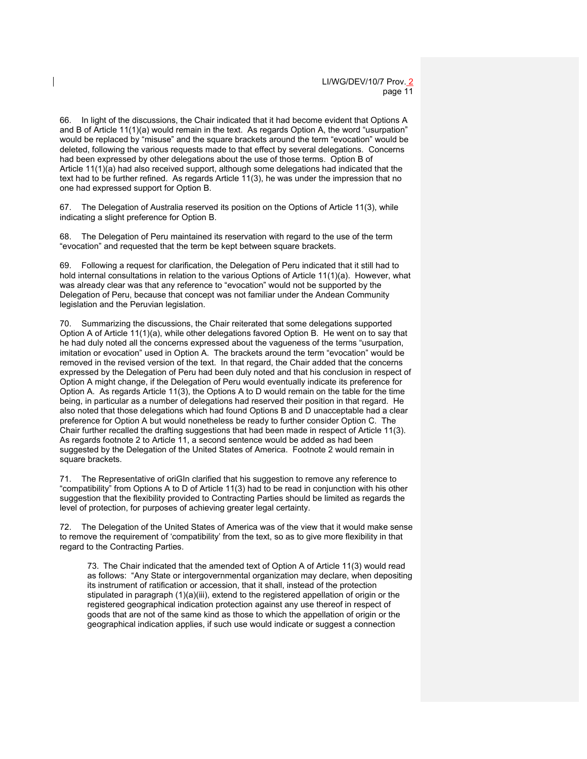66. In light of the discussions, the Chair indicated that it had become evident that Options A and B of Article 11(1)(a) would remain in the text. As regards Option A, the word "usurpation" would be replaced by "misuse" and the square brackets around the term "evocation" would be deleted, following the various requests made to that effect by several delegations. Concerns had been expressed by other delegations about the use of those terms. Option B of Article 11(1)(a) had also received support, although some delegations had indicated that the text had to be further refined. As regards Article 11(3), he was under the impression that no one had expressed support for Option B.

67. The Delegation of Australia reserved its position on the Options of Article 11(3), while indicating a slight preference for Option B.

68. The Delegation of Peru maintained its reservation with regard to the use of the term "evocation" and requested that the term be kept between square brackets.

69. Following a request for clarification, the Delegation of Peru indicated that it still had to hold internal consultations in relation to the various Options of Article 11(1)(a). However, what was already clear was that any reference to "evocation" would not be supported by the Delegation of Peru, because that concept was not familiar under the Andean Community legislation and the Peruvian legislation.

70. Summarizing the discussions, the Chair reiterated that some delegations supported Option A of Article 11(1)(a), while other delegations favored Option B. He went on to say that he had duly noted all the concerns expressed about the vagueness of the terms "usurpation, imitation or evocation" used in Option A. The brackets around the term "evocation" would be removed in the revised version of the text. In that regard, the Chair added that the concerns expressed by the Delegation of Peru had been duly noted and that his conclusion in respect of Option A might change, if the Delegation of Peru would eventually indicate its preference for Option A. As regards Article 11(3), the Options A to D would remain on the table for the time being, in particular as a number of delegations had reserved their position in that regard. He also noted that those delegations which had found Options B and D unacceptable had a clear preference for Option A but would nonetheless be ready to further consider Option C. The Chair further recalled the drafting suggestions that had been made in respect of Article 11(3). As regards footnote 2 to Article 11, a second sentence would be added as had been suggested by the Delegation of the United States of America. Footnote 2 would remain in square brackets.

71. The Representative of oriGIn clarified that his suggestion to remove any reference to "compatibility" from Options A to D of Article 11(3) had to be read in conjunction with his other suggestion that the flexibility provided to Contracting Parties should be limited as regards the level of protection, for purposes of achieving greater legal certainty.

72. The Delegation of the United States of America was of the view that it would make sense to remove the requirement of 'compatibility' from the text, so as to give more flexibility in that regard to the Contracting Parties.

73. The Chair indicated that the amended text of Option A of Article 11(3) would read as follows: "Any State or intergovernmental organization may declare, when depositing its instrument of ratification or accession, that it shall, instead of the protection stipulated in paragraph (1)(a)(iii), extend to the registered appellation of origin or the registered geographical indication protection against any use thereof in respect of goods that are not of the same kind as those to which the appellation of origin or the geographical indication applies, if such use would indicate or suggest a connection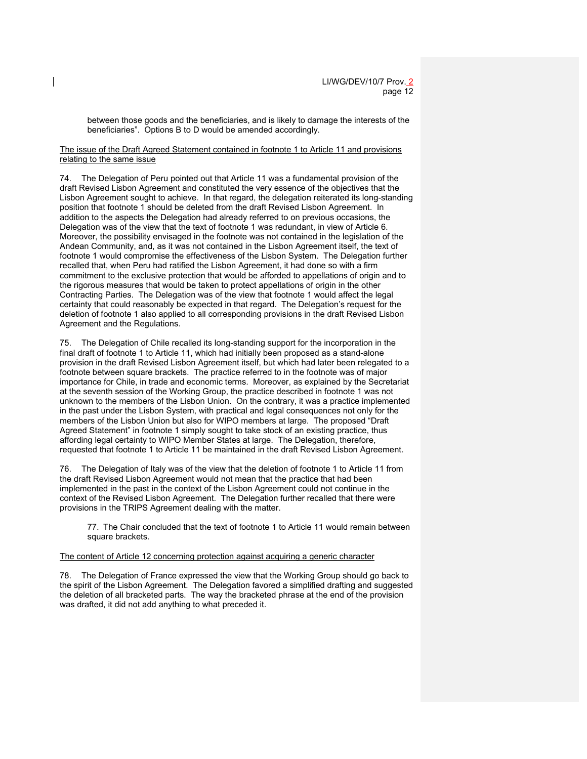between those goods and the beneficiaries, and is likely to damage the interests of the beneficiaries". Options B to D would be amended accordingly.

### The issue of the Draft Agreed Statement contained in footnote 1 to Article 11 and provisions relating to the same issue

74. The Delegation of Peru pointed out that Article 11 was a fundamental provision of the draft Revised Lisbon Agreement and constituted the very essence of the objectives that the Lisbon Agreement sought to achieve. In that regard, the delegation reiterated its long-standing position that footnote 1 should be deleted from the draft Revised Lisbon Agreement. In addition to the aspects the Delegation had already referred to on previous occasions, the Delegation was of the view that the text of footnote 1 was redundant, in view of Article 6. Moreover, the possibility envisaged in the footnote was not contained in the legislation of the Andean Community, and, as it was not contained in the Lisbon Agreement itself, the text of footnote 1 would compromise the effectiveness of the Lisbon System. The Delegation further recalled that, when Peru had ratified the Lisbon Agreement, it had done so with a firm commitment to the exclusive protection that would be afforded to appellations of origin and to the rigorous measures that would be taken to protect appellations of origin in the other Contracting Parties. The Delegation was of the view that footnote 1 would affect the legal certainty that could reasonably be expected in that regard. The Delegation's request for the deletion of footnote 1 also applied to all corresponding provisions in the draft Revised Lisbon Agreement and the Regulations.

75. The Delegation of Chile recalled its long-standing support for the incorporation in the final draft of footnote 1 to Article 11, which had initially been proposed as a stand-alone provision in the draft Revised Lisbon Agreement itself, but which had later been relegated to a footnote between square brackets. The practice referred to in the footnote was of major importance for Chile, in trade and economic terms. Moreover, as explained by the Secretariat at the seventh session of the Working Group, the practice described in footnote 1 was not unknown to the members of the Lisbon Union. On the contrary, it was a practice implemented in the past under the Lisbon System, with practical and legal consequences not only for the members of the Lisbon Union but also for WIPO members at large. The proposed "Draft Agreed Statement" in footnote 1 simply sought to take stock of an existing practice, thus affording legal certainty to WIPO Member States at large. The Delegation, therefore, requested that footnote 1 to Article 11 be maintained in the draft Revised Lisbon Agreement.

76. The Delegation of Italy was of the view that the deletion of footnote 1 to Article 11 from the draft Revised Lisbon Agreement would not mean that the practice that had been implemented in the past in the context of the Lisbon Agreement could not continue in the context of the Revised Lisbon Agreement. The Delegation further recalled that there were provisions in the TRIPS Agreement dealing with the matter.

77. The Chair concluded that the text of footnote 1 to Article 11 would remain between square brackets.

The content of Article 12 concerning protection against acquiring a generic character

78. The Delegation of France expressed the view that the Working Group should go back to the spirit of the Lisbon Agreement. The Delegation favored a simplified drafting and suggested the deletion of all bracketed parts. The way the bracketed phrase at the end of the provision was drafted, it did not add anything to what preceded it.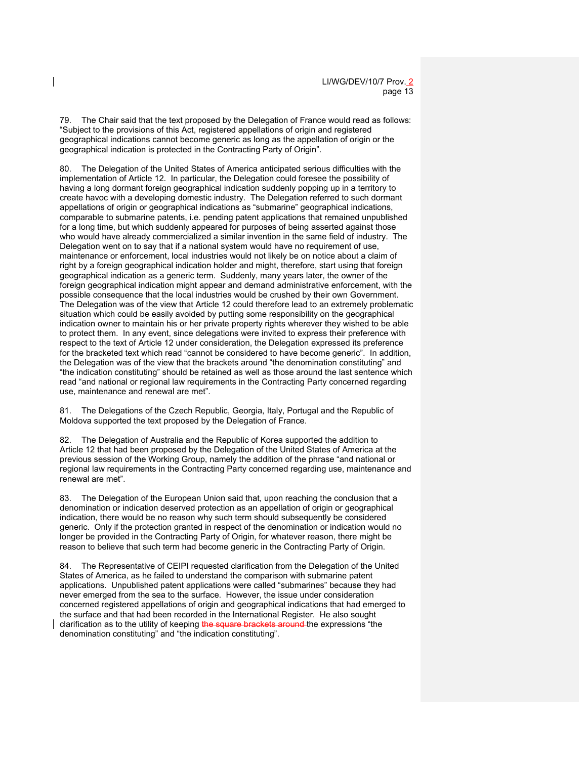79. The Chair said that the text proposed by the Delegation of France would read as follows: "Subject to the provisions of this Act, registered appellations of origin and registered geographical indications cannot become generic as long as the appellation of origin or the geographical indication is protected in the Contracting Party of Origin".

80. The Delegation of the United States of America anticipated serious difficulties with the implementation of Article 12. In particular, the Delegation could foresee the possibility of having a long dormant foreign geographical indication suddenly popping up in a territory to create havoc with a developing domestic industry. The Delegation referred to such dormant appellations of origin or geographical indications as "submarine" geographical indications, comparable to submarine patents, i.e. pending patent applications that remained unpublished for a long time, but which suddenly appeared for purposes of being asserted against those who would have already commercialized a similar invention in the same field of industry. The Delegation went on to say that if a national system would have no requirement of use, maintenance or enforcement, local industries would not likely be on notice about a claim of right by a foreign geographical indication holder and might, therefore, start using that foreign geographical indication as a generic term. Suddenly, many years later, the owner of the foreign geographical indication might appear and demand administrative enforcement, with the possible consequence that the local industries would be crushed by their own Government. The Delegation was of the view that Article 12 could therefore lead to an extremely problematic situation which could be easily avoided by putting some responsibility on the geographical indication owner to maintain his or her private property rights wherever they wished to be able to protect them. In any event, since delegations were invited to express their preference with respect to the text of Article 12 under consideration, the Delegation expressed its preference for the bracketed text which read "cannot be considered to have become generic". In addition, the Delegation was of the view that the brackets around "the denomination constituting" and "the indication constituting" should be retained as well as those around the last sentence which read "and national or regional law requirements in the Contracting Party concerned regarding use, maintenance and renewal are met".

81. The Delegations of the Czech Republic, Georgia, Italy, Portugal and the Republic of Moldova supported the text proposed by the Delegation of France.

82. The Delegation of Australia and the Republic of Korea supported the addition to Article 12 that had been proposed by the Delegation of the United States of America at the previous session of the Working Group, namely the addition of the phrase "and national or regional law requirements in the Contracting Party concerned regarding use, maintenance and renewal are met".

83. The Delegation of the European Union said that, upon reaching the conclusion that a denomination or indication deserved protection as an appellation of origin or geographical indication, there would be no reason why such term should subsequently be considered generic. Only if the protection granted in respect of the denomination or indication would no longer be provided in the Contracting Party of Origin, for whatever reason, there might be reason to believe that such term had become generic in the Contracting Party of Origin.

84. The Representative of CEIPI requested clarification from the Delegation of the United States of America, as he failed to understand the comparison with submarine patent applications. Unpublished patent applications were called "submarines" because they had never emerged from the sea to the surface. However, the issue under consideration concerned registered appellations of origin and geographical indications that had emerged to the surface and that had been recorded in the International Register. He also sought clarification as to the utility of keeping the square brackets around the expressions "the denomination constituting" and "the indication constituting".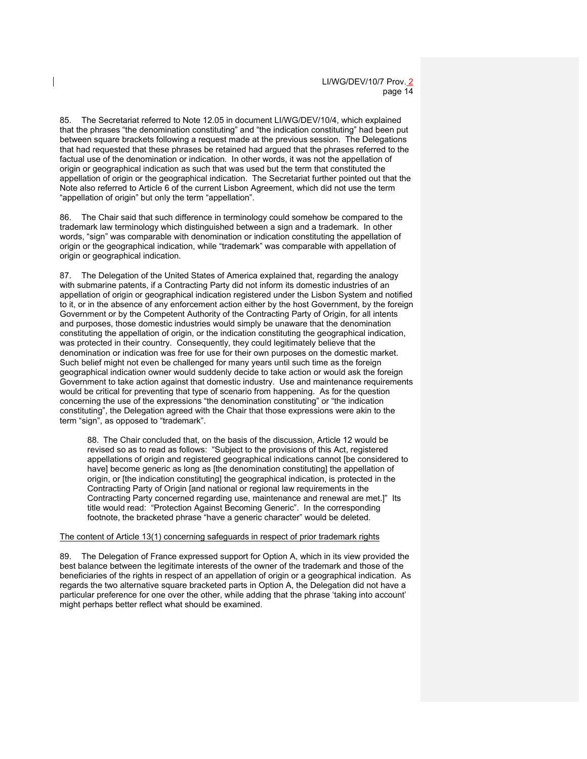85. The Secretariat referred to Note 12.05 in document LI/WG/DEV/10/4, which explained that the phrases "the denomination constituting" and "the indication constituting" had been put between square brackets following a request made at the previous session. The Delegations that had requested that these phrases be retained had argued that the phrases referred to the factual use of the denomination or indication. In other words, it was not the appellation of origin or geographical indication as such that was used but the term that constituted the appellation of origin or the geographical indication. The Secretariat further pointed out that the Note also referred to Article 6 of the current Lisbon Agreement, which did not use the term "appellation of origin" but only the term "appellation".

86. The Chair said that such difference in terminology could somehow be compared to the trademark law terminology which distinguished between a sign and a trademark. In other words, "sign" was comparable with denomination or indication constituting the appellation of origin or the geographical indication, while "trademark" was comparable with appellation of origin or geographical indication.

87. The Delegation of the United States of America explained that, regarding the analogy with submarine patents, if a Contracting Party did not inform its domestic industries of an appellation of origin or geographical indication registered under the Lisbon System and notified to it, or in the absence of any enforcement action either by the host Government, by the foreign Government or by the Competent Authority of the Contracting Party of Origin, for all intents and purposes, those domestic industries would simply be unaware that the denomination constituting the appellation of origin, or the indication constituting the geographical indication, was protected in their country. Consequently, they could legitimately believe that the denomination or indication was free for use for their own purposes on the domestic market. Such belief might not even be challenged for many years until such time as the foreign geographical indication owner would suddenly decide to take action or would ask the foreign Government to take action against that domestic industry. Use and maintenance requirements would be critical for preventing that type of scenario from happening. As for the question concerning the use of the expressions "the denomination constituting" or "the indication constituting", the Delegation agreed with the Chair that those expressions were akin to the term "sign", as opposed to "trademark".

88. The Chair concluded that, on the basis of the discussion, Article 12 would be revised so as to read as follows: "Subject to the provisions of this Act, registered appellations of origin and registered geographical indications cannot [be considered to have] become generic as long as [the denomination constituting] the appellation of origin, or [the indication constituting] the geographical indication, is protected in the Contracting Party of Origin [and national or regional law requirements in the Contracting Party concerned regarding use, maintenance and renewal are met.]" Its title would read: "Protection Against Becoming Generic". In the corresponding footnote, the bracketed phrase "have a generic character" would be deleted.

#### The content of Article 13(1) concerning safeguards in respect of prior trademark rights

89. The Delegation of France expressed support for Option A, which in its view provided the best balance between the legitimate interests of the owner of the trademark and those of the beneficiaries of the rights in respect of an appellation of origin or a geographical indication. As regards the two alternative square bracketed parts in Option A, the Delegation did not have a particular preference for one over the other, while adding that the phrase 'taking into account' might perhaps better reflect what should be examined.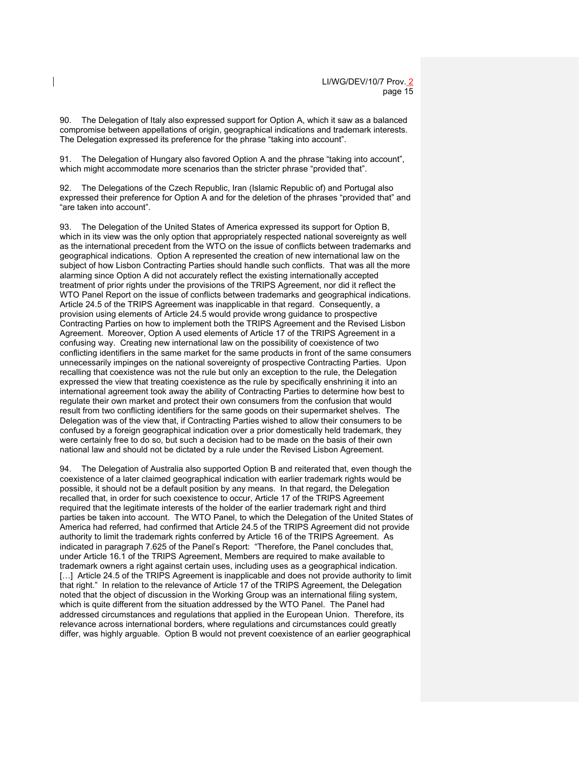90. The Delegation of Italy also expressed support for Option A, which it saw as a balanced compromise between appellations of origin, geographical indications and trademark interests. The Delegation expressed its preference for the phrase "taking into account".

91. The Delegation of Hungary also favored Option A and the phrase "taking into account", which might accommodate more scenarios than the stricter phrase "provided that".

92. The Delegations of the Czech Republic, Iran (Islamic Republic of) and Portugal also expressed their preference for Option A and for the deletion of the phrases "provided that" and "are taken into account".

93. The Delegation of the United States of America expressed its support for Option B, which in its view was the only option that appropriately respected national sovereignty as well as the international precedent from the WTO on the issue of conflicts between trademarks and geographical indications. Option A represented the creation of new international law on the subject of how Lisbon Contracting Parties should handle such conflicts. That was all the more alarming since Option A did not accurately reflect the existing internationally accepted treatment of prior rights under the provisions of the TRIPS Agreement, nor did it reflect the WTO Panel Report on the issue of conflicts between trademarks and geographical indications. Article 24.5 of the TRIPS Agreement was inapplicable in that regard. Consequently, a provision using elements of Article 24.5 would provide wrong guidance to prospective Contracting Parties on how to implement both the TRIPS Agreement and the Revised Lisbon Agreement. Moreover, Option A used elements of Article 17 of the TRIPS Agreement in a confusing way. Creating new international law on the possibility of coexistence of two conflicting identifiers in the same market for the same products in front of the same consumers unnecessarily impinges on the national sovereignty of prospective Contracting Parties. Upon recalling that coexistence was not the rule but only an exception to the rule, the Delegation expressed the view that treating coexistence as the rule by specifically enshrining it into an international agreement took away the ability of Contracting Parties to determine how best to regulate their own market and protect their own consumers from the confusion that would result from two conflicting identifiers for the same goods on their supermarket shelves. The Delegation was of the view that, if Contracting Parties wished to allow their consumers to be confused by a foreign geographical indication over a prior domestically held trademark, they were certainly free to do so, but such a decision had to be made on the basis of their own national law and should not be dictated by a rule under the Revised Lisbon Agreement.

94. The Delegation of Australia also supported Option B and reiterated that, even though the coexistence of a later claimed geographical indication with earlier trademark rights would be possible, it should not be a default position by any means. In that regard, the Delegation recalled that, in order for such coexistence to occur, Article 17 of the TRIPS Agreement required that the legitimate interests of the holder of the earlier trademark right and third parties be taken into account. The WTO Panel, to which the Delegation of the United States of America had referred, had confirmed that Article 24.5 of the TRIPS Agreement did not provide authority to limit the trademark rights conferred by Article 16 of the TRIPS Agreement. As indicated in paragraph 7.625 of the Panel's Report: "Therefore, the Panel concludes that, under Article 16.1 of the TRIPS Agreement, Members are required to make available to trademark owners a right against certain uses, including uses as a geographical indication. [...] Article 24.5 of the TRIPS Agreement is inapplicable and does not provide authority to limit that right." In relation to the relevance of Article 17 of the TRIPS Agreement, the Delegation noted that the object of discussion in the Working Group was an international filing system, which is quite different from the situation addressed by the WTO Panel. The Panel had addressed circumstances and regulations that applied in the European Union. Therefore, its relevance across international borders, where regulations and circumstances could greatly differ, was highly arguable. Option B would not prevent coexistence of an earlier geographical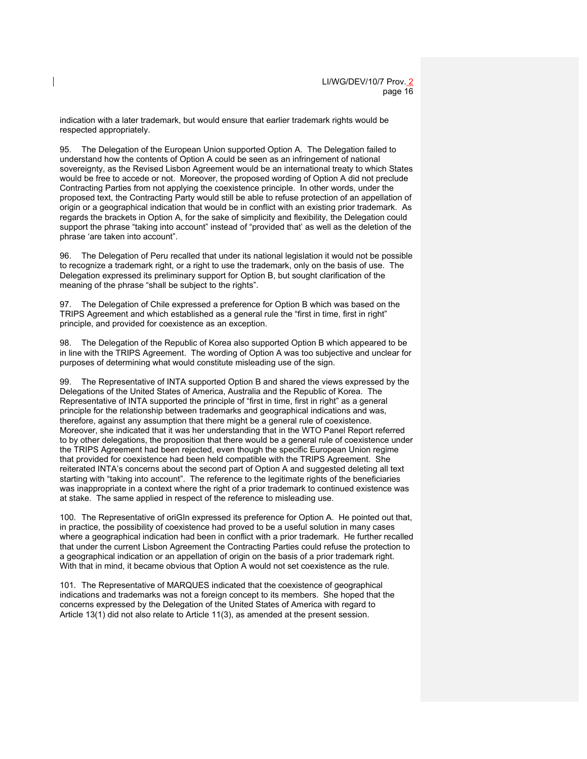indication with a later trademark, but would ensure that earlier trademark rights would be respected appropriately.

95. The Delegation of the European Union supported Option A. The Delegation failed to understand how the contents of Option A could be seen as an infringement of national sovereignty, as the Revised Lisbon Agreement would be an international treaty to which States would be free to accede or not. Moreover, the proposed wording of Option A did not preclude Contracting Parties from not applying the coexistence principle. In other words, under the proposed text, the Contracting Party would still be able to refuse protection of an appellation of origin or a geographical indication that would be in conflict with an existing prior trademark. As regards the brackets in Option A, for the sake of simplicity and flexibility, the Delegation could support the phrase "taking into account" instead of "provided that' as well as the deletion of the phrase 'are taken into account".

96. The Delegation of Peru recalled that under its national legislation it would not be possible to recognize a trademark right, or a right to use the trademark, only on the basis of use. The Delegation expressed its preliminary support for Option B, but sought clarification of the meaning of the phrase "shall be subject to the rights".

97. The Delegation of Chile expressed a preference for Option B which was based on the TRIPS Agreement and which established as a general rule the "first in time, first in right" principle, and provided for coexistence as an exception.

98. The Delegation of the Republic of Korea also supported Option B which appeared to be in line with the TRIPS Agreement. The wording of Option A was too subjective and unclear for purposes of determining what would constitute misleading use of the sign.

99. The Representative of INTA supported Option B and shared the views expressed by the Delegations of the United States of America, Australia and the Republic of Korea. The Representative of INTA supported the principle of "first in time, first in right" as a general principle for the relationship between trademarks and geographical indications and was, therefore, against any assumption that there might be a general rule of coexistence. Moreover, she indicated that it was her understanding that in the WTO Panel Report referred to by other delegations, the proposition that there would be a general rule of coexistence under the TRIPS Agreement had been rejected, even though the specific European Union regime that provided for coexistence had been held compatible with the TRIPS Agreement. She reiterated INTA's concerns about the second part of Option A and suggested deleting all text starting with "taking into account". The reference to the legitimate rights of the beneficiaries was inappropriate in a context where the right of a prior trademark to continued existence was at stake. The same applied in respect of the reference to misleading use.

100. The Representative of oriGIn expressed its preference for Option A. He pointed out that, in practice, the possibility of coexistence had proved to be a useful solution in many cases where a geographical indication had been in conflict with a prior trademark. He further recalled that under the current Lisbon Agreement the Contracting Parties could refuse the protection to a geographical indication or an appellation of origin on the basis of a prior trademark right. With that in mind, it became obvious that Option A would not set coexistence as the rule.

101. The Representative of MARQUES indicated that the coexistence of geographical indications and trademarks was not a foreign concept to its members. She hoped that the concerns expressed by the Delegation of the United States of America with regard to Article 13(1) did not also relate to Article 11(3), as amended at the present session.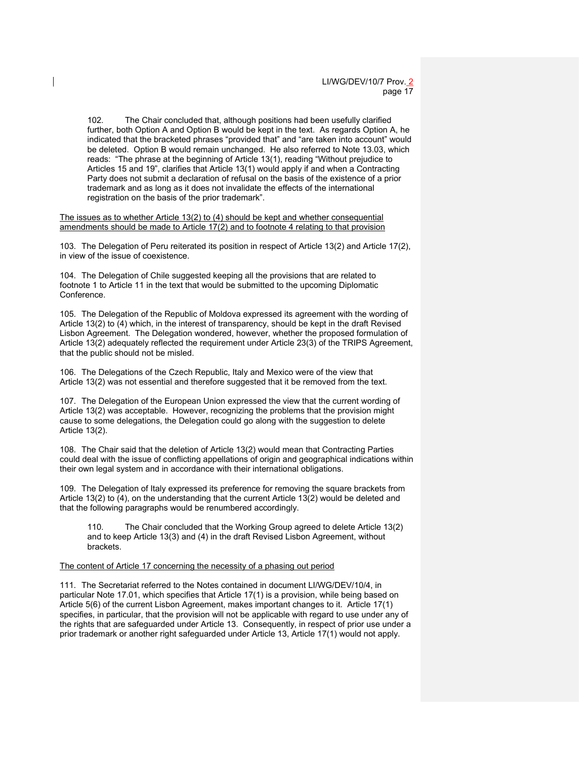102. The Chair concluded that, although positions had been usefully clarified further, both Option A and Option B would be kept in the text. As regards Option A, he indicated that the bracketed phrases "provided that" and "are taken into account" would be deleted. Option B would remain unchanged. He also referred to Note 13.03, which reads: "The phrase at the beginning of Article 13(1), reading "Without prejudice to Articles 15 and 19", clarifies that Article 13(1) would apply if and when a Contracting Party does not submit a declaration of refusal on the basis of the existence of a prior trademark and as long as it does not invalidate the effects of the international registration on the basis of the prior trademark".

The issues as to whether Article 13(2) to (4) should be kept and whether consequential amendments should be made to Article 17(2) and to footnote 4 relating to that provision

103. The Delegation of Peru reiterated its position in respect of Article 13(2) and Article 17(2), in view of the issue of coexistence.

104. The Delegation of Chile suggested keeping all the provisions that are related to footnote 1 to Article 11 in the text that would be submitted to the upcoming Diplomatic Conference.

105. The Delegation of the Republic of Moldova expressed its agreement with the wording of Article 13(2) to (4) which, in the interest of transparency, should be kept in the draft Revised Lisbon Agreement. The Delegation wondered, however, whether the proposed formulation of Article 13(2) adequately reflected the requirement under Article 23(3) of the TRIPS Agreement, that the public should not be misled.

106. The Delegations of the Czech Republic, Italy and Mexico were of the view that Article 13(2) was not essential and therefore suggested that it be removed from the text.

107. The Delegation of the European Union expressed the view that the current wording of Article 13(2) was acceptable. However, recognizing the problems that the provision might cause to some delegations, the Delegation could go along with the suggestion to delete Article 13(2).

108. The Chair said that the deletion of Article 13(2) would mean that Contracting Parties could deal with the issue of conflicting appellations of origin and geographical indications within their own legal system and in accordance with their international obligations.

109. The Delegation of Italy expressed its preference for removing the square brackets from Article 13(2) to (4), on the understanding that the current Article 13(2) would be deleted and that the following paragraphs would be renumbered accordingly.

110. The Chair concluded that the Working Group agreed to delete Article 13(2) and to keep Article 13(3) and (4) in the draft Revised Lisbon Agreement, without **brackets** 

#### The content of Article 17 concerning the necessity of a phasing out period

111. The Secretariat referred to the Notes contained in document LI/WG/DEV/10/4, in particular Note 17.01, which specifies that Article 17(1) is a provision, while being based on Article 5(6) of the current Lisbon Agreement, makes important changes to it. Article 17(1) specifies, in particular, that the provision will not be applicable with regard to use under any of the rights that are safeguarded under Article 13. Consequently, in respect of prior use under a prior trademark or another right safeguarded under Article 13, Article 17(1) would not apply.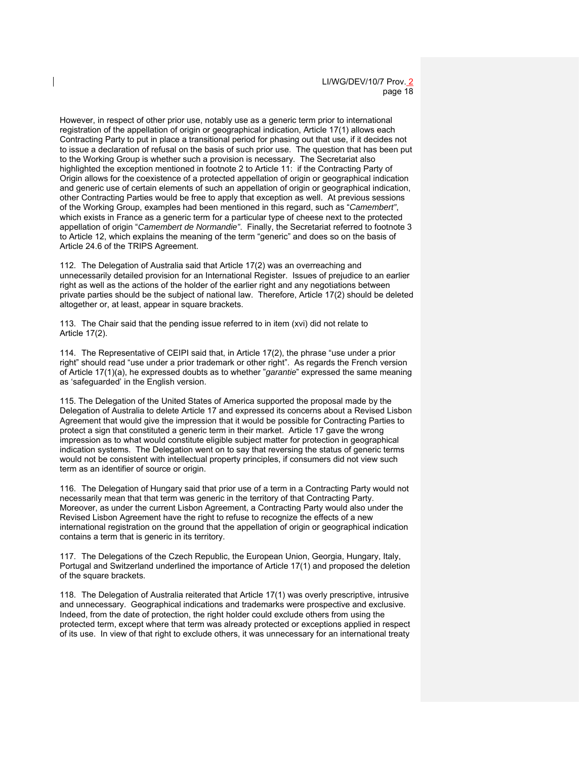However, in respect of other prior use, notably use as a generic term prior to international registration of the appellation of origin or geographical indication, Article 17(1) allows each Contracting Party to put in place a transitional period for phasing out that use, if it decides not to issue a declaration of refusal on the basis of such prior use. The question that has been put to the Working Group is whether such a provision is necessary. The Secretariat also highlighted the exception mentioned in footnote 2 to Article 11: if the Contracting Party of Origin allows for the coexistence of a protected appellation of origin or geographical indication and generic use of certain elements of such an appellation of origin or geographical indication, other Contracting Parties would be free to apply that exception as well. At previous sessions of the Working Group, examples had been mentioned in this regard, such as "*Camembert"*, which exists in France as a generic term for a particular type of cheese next to the protected appellation of origin "*Camembert de Normandie"*. Finally, the Secretariat referred to footnote 3 to Article 12, which explains the meaning of the term "generic" and does so on the basis of Article 24.6 of the TRIPS Agreement.

112. The Delegation of Australia said that Article 17(2) was an overreaching and unnecessarily detailed provision for an International Register. Issues of prejudice to an earlier right as well as the actions of the holder of the earlier right and any negotiations between private parties should be the subject of national law. Therefore, Article 17(2) should be deleted altogether or, at least, appear in square brackets.

113. The Chair said that the pending issue referred to in item (xvi) did not relate to Article 17(2).

114. The Representative of CEIPI said that, in Article 17(2), the phrase "use under a prior right" should read "use under a prior trademark or other right". As regards the French version of Article 17(1)(a), he expressed doubts as to whether "*garantie*" expressed the same meaning as 'safeguarded' in the English version.

115. The Delegation of the United States of America supported the proposal made by the Delegation of Australia to delete Article 17 and expressed its concerns about a Revised Lisbon Agreement that would give the impression that it would be possible for Contracting Parties to protect a sign that constituted a generic term in their market. Article 17 gave the wrong impression as to what would constitute eligible subject matter for protection in geographical indication systems. The Delegation went on to say that reversing the status of generic terms would not be consistent with intellectual property principles, if consumers did not view such term as an identifier of source or origin.

116. The Delegation of Hungary said that prior use of a term in a Contracting Party would not necessarily mean that that term was generic in the territory of that Contracting Party. Moreover, as under the current Lisbon Agreement, a Contracting Party would also under the Revised Lisbon Agreement have the right to refuse to recognize the effects of a new international registration on the ground that the appellation of origin or geographical indication contains a term that is generic in its territory.

117. The Delegations of the Czech Republic, the European Union, Georgia, Hungary, Italy, Portugal and Switzerland underlined the importance of Article 17(1) and proposed the deletion of the square brackets.

118. The Delegation of Australia reiterated that Article 17(1) was overly prescriptive, intrusive and unnecessary. Geographical indications and trademarks were prospective and exclusive. Indeed, from the date of protection, the right holder could exclude others from using the protected term, except where that term was already protected or exceptions applied in respect of its use. In view of that right to exclude others, it was unnecessary for an international treaty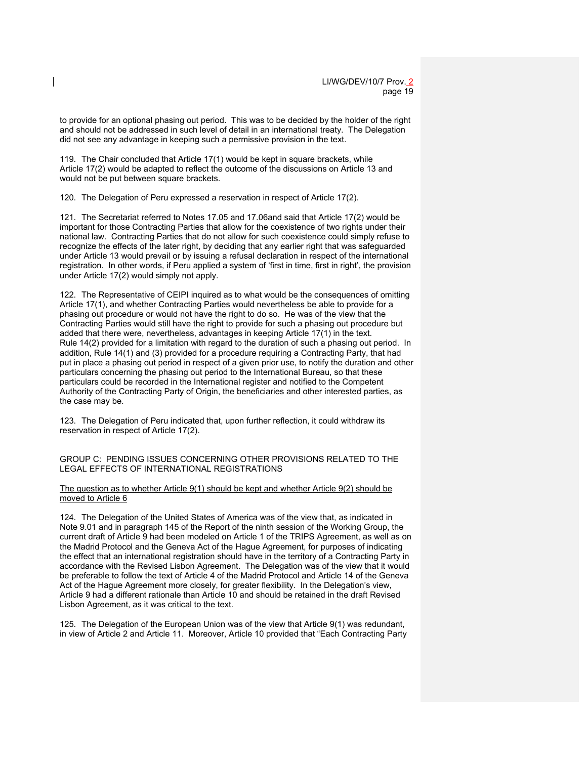to provide for an optional phasing out period. This was to be decided by the holder of the right and should not be addressed in such level of detail in an international treaty. The Delegation did not see any advantage in keeping such a permissive provision in the text.

119. The Chair concluded that Article 17(1) would be kept in square brackets, while Article 17(2) would be adapted to reflect the outcome of the discussions on Article 13 and would not be put between square brackets.

120. The Delegation of Peru expressed a reservation in respect of Article 17(2).

121. The Secretariat referred to Notes 17.05 and 17.06and said that Article 17(2) would be important for those Contracting Parties that allow for the coexistence of two rights under their national law. Contracting Parties that do not allow for such coexistence could simply refuse to recognize the effects of the later right, by deciding that any earlier right that was safeguarded under Article 13 would prevail or by issuing a refusal declaration in respect of the international registration. In other words, if Peru applied a system of 'first in time, first in right', the provision under Article 17(2) would simply not apply.

122. The Representative of CEIPI inquired as to what would be the consequences of omitting Article 17(1), and whether Contracting Parties would nevertheless be able to provide for a phasing out procedure or would not have the right to do so. He was of the view that the Contracting Parties would still have the right to provide for such a phasing out procedure but added that there were, nevertheless, advantages in keeping Article 17(1) in the text. Rule 14(2) provided for a limitation with regard to the duration of such a phasing out period. In addition, Rule 14(1) and (3) provided for a procedure requiring a Contracting Party, that had put in place a phasing out period in respect of a given prior use, to notify the duration and other particulars concerning the phasing out period to the International Bureau, so that these particulars could be recorded in the International register and notified to the Competent Authority of the Contracting Party of Origin, the beneficiaries and other interested parties, as the case may be.

123. The Delegation of Peru indicated that, upon further reflection, it could withdraw its reservation in respect of Article 17(2).

GROUP C: PENDING ISSUES CONCERNING OTHER PROVISIONS RELATED TO THE LEGAL EFFECTS OF INTERNATIONAL REGISTRATIONS

The question as to whether Article 9(1) should be kept and whether Article 9(2) should be moved to Article 6

124. The Delegation of the United States of America was of the view that, as indicated in Note 9.01 and in paragraph 145 of the Report of the ninth session of the Working Group, the current draft of Article 9 had been modeled on Article 1 of the TRIPS Agreement, as well as on the Madrid Protocol and the Geneva Act of the Hague Agreement, for purposes of indicating the effect that an international registration should have in the territory of a Contracting Party in accordance with the Revised Lisbon Agreement. The Delegation was of the view that it would be preferable to follow the text of Article 4 of the Madrid Protocol and Article 14 of the Geneva Act of the Hague Agreement more closely, for greater flexibility. In the Delegation's view, Article 9 had a different rationale than Article 10 and should be retained in the draft Revised Lisbon Agreement, as it was critical to the text.

125. The Delegation of the European Union was of the view that Article 9(1) was redundant, in view of Article 2 and Article 11. Moreover, Article 10 provided that "Each Contracting Party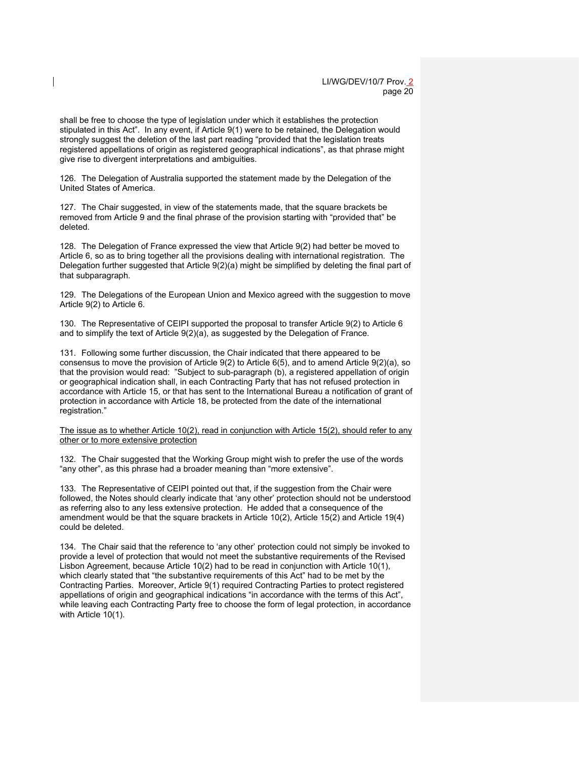shall be free to choose the type of legislation under which it establishes the protection stipulated in this Act". In any event, if Article 9(1) were to be retained, the Delegation would strongly suggest the deletion of the last part reading "provided that the legislation treats registered appellations of origin as registered geographical indications", as that phrase might give rise to divergent interpretations and ambiguities.

126. The Delegation of Australia supported the statement made by the Delegation of the United States of America.

127. The Chair suggested, in view of the statements made, that the square brackets be removed from Article 9 and the final phrase of the provision starting with "provided that" be deleted.

128. The Delegation of France expressed the view that Article 9(2) had better be moved to Article 6, so as to bring together all the provisions dealing with international registration. The Delegation further suggested that Article 9(2)(a) might be simplified by deleting the final part of that subparagraph.

129. The Delegations of the European Union and Mexico agreed with the suggestion to move Article 9(2) to Article 6.

130. The Representative of CEIPI supported the proposal to transfer Article 9(2) to Article 6 and to simplify the text of Article 9(2)(a), as suggested by the Delegation of France.

131. Following some further discussion, the Chair indicated that there appeared to be consensus to move the provision of Article 9(2) to Article 6(5), and to amend Article 9(2)(a), so that the provision would read: "Subject to sub-paragraph (b), a registered appellation of origin or geographical indication shall, in each Contracting Party that has not refused protection in accordance with Article 15, or that has sent to the International Bureau a notification of grant of protection in accordance with Article 18, be protected from the date of the international registration."

The issue as to whether Article 10(2), read in conjunction with Article 15(2), should refer to any other or to more extensive protection

132. The Chair suggested that the Working Group might wish to prefer the use of the words "any other", as this phrase had a broader meaning than "more extensive".

133. The Representative of CEIPI pointed out that, if the suggestion from the Chair were followed, the Notes should clearly indicate that 'any other' protection should not be understood as referring also to any less extensive protection. He added that a consequence of the amendment would be that the square brackets in Article 10(2), Article 15(2) and Article 19(4) could be deleted.

134. The Chair said that the reference to 'any other' protection could not simply be invoked to provide a level of protection that would not meet the substantive requirements of the Revised Lisbon Agreement, because Article 10(2) had to be read in conjunction with Article 10(1), which clearly stated that "the substantive requirements of this Act" had to be met by the Contracting Parties. Moreover, Article 9(1) required Contracting Parties to protect registered appellations of origin and geographical indications "in accordance with the terms of this Act", while leaving each Contracting Party free to choose the form of legal protection, in accordance with Article 10(1).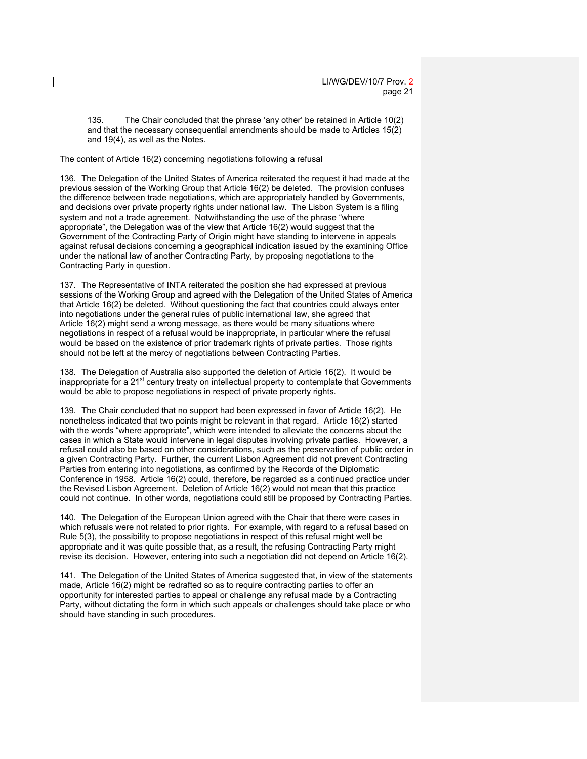135. The Chair concluded that the phrase 'any other' be retained in Article 10(2) and that the necessary consequential amendments should be made to Articles 15(2) and 19(4), as well as the Notes.

### The content of Article 16(2) concerning negotiations following a refusal

136. The Delegation of the United States of America reiterated the request it had made at the previous session of the Working Group that Article 16(2) be deleted. The provision confuses the difference between trade negotiations, which are appropriately handled by Governments, and decisions over private property rights under national law. The Lisbon System is a filing system and not a trade agreement. Notwithstanding the use of the phrase "where appropriate", the Delegation was of the view that Article 16(2) would suggest that the Government of the Contracting Party of Origin might have standing to intervene in appeals against refusal decisions concerning a geographical indication issued by the examining Office under the national law of another Contracting Party, by proposing negotiations to the Contracting Party in question.

137. The Representative of INTA reiterated the position she had expressed at previous sessions of the Working Group and agreed with the Delegation of the United States of America that Article 16(2) be deleted. Without questioning the fact that countries could always enter into negotiations under the general rules of public international law, she agreed that Article 16(2) might send a wrong message, as there would be many situations where negotiations in respect of a refusal would be inappropriate, in particular where the refusal would be based on the existence of prior trademark rights of private parties. Those rights should not be left at the mercy of negotiations between Contracting Parties.

138. The Delegation of Australia also supported the deletion of Article 16(2). It would be inappropriate for a  $21<sup>st</sup>$  century treaty on intellectual property to contemplate that Governments would be able to propose negotiations in respect of private property rights.

139. The Chair concluded that no support had been expressed in favor of Article 16(2). He nonetheless indicated that two points might be relevant in that regard. Article 16(2) started with the words "where appropriate", which were intended to alleviate the concerns about the cases in which a State would intervene in legal disputes involving private parties. However, a refusal could also be based on other considerations, such as the preservation of public order in a given Contracting Party. Further, the current Lisbon Agreement did not prevent Contracting Parties from entering into negotiations, as confirmed by the Records of the Diplomatic Conference in 1958. Article 16(2) could, therefore, be regarded as a continued practice under the Revised Lisbon Agreement. Deletion of Article 16(2) would not mean that this practice could not continue. In other words, negotiations could still be proposed by Contracting Parties.

140. The Delegation of the European Union agreed with the Chair that there were cases in which refusals were not related to prior rights. For example, with regard to a refusal based on Rule 5(3), the possibility to propose negotiations in respect of this refusal might well be appropriate and it was quite possible that, as a result, the refusing Contracting Party might revise its decision. However, entering into such a negotiation did not depend on Article 16(2).

141. The Delegation of the United States of America suggested that, in view of the statements made, Article 16(2) might be redrafted so as to require contracting parties to offer an opportunity for interested parties to appeal or challenge any refusal made by a Contracting Party, without dictating the form in which such appeals or challenges should take place or who should have standing in such procedures.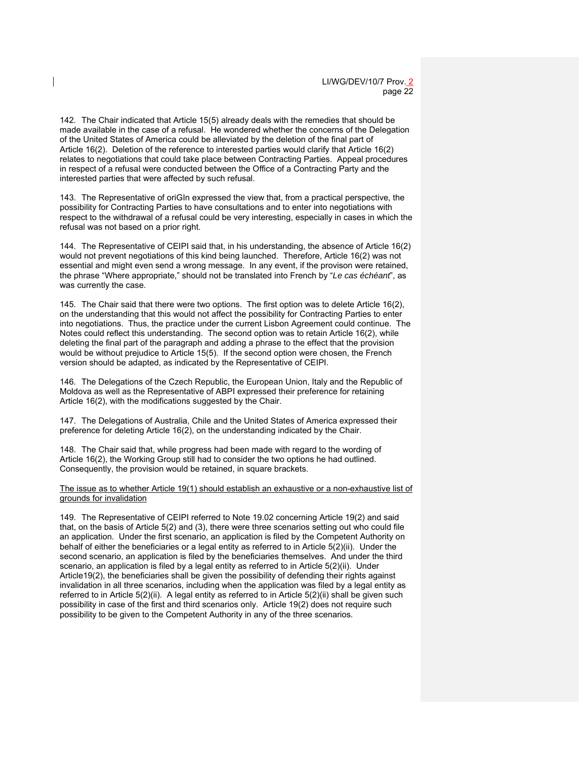142. The Chair indicated that Article 15(5) already deals with the remedies that should be made available in the case of a refusal. He wondered whether the concerns of the Delegation of the United States of America could be alleviated by the deletion of the final part of Article 16(2). Deletion of the reference to interested parties would clarify that Article 16(2) relates to negotiations that could take place between Contracting Parties. Appeal procedures in respect of a refusal were conducted between the Office of a Contracting Party and the interested parties that were affected by such refusal.

143. The Representative of oriGIn expressed the view that, from a practical perspective, the possibility for Contracting Parties to have consultations and to enter into negotiations with respect to the withdrawal of a refusal could be very interesting, especially in cases in which the refusal was not based on a prior right.

144. The Representative of CEIPI said that, in his understanding, the absence of Article 16(2) would not prevent negotiations of this kind being launched. Therefore, Article 16(2) was not essential and might even send a wrong message. In any event, if the provison were retained, the phrase "Where appropriate," should not be translated into French by "*Le cas échéant*", as was currently the case.

145. The Chair said that there were two options. The first option was to delete Article 16(2), on the understanding that this would not affect the possibility for Contracting Parties to enter into negotiations. Thus, the practice under the current Lisbon Agreement could continue. The Notes could reflect this understanding. The second option was to retain Article 16(2), while deleting the final part of the paragraph and adding a phrase to the effect that the provision would be without prejudice to Article 15(5). If the second option were chosen, the French version should be adapted, as indicated by the Representative of CEIPI.

146. The Delegations of the Czech Republic, the European Union, Italy and the Republic of Moldova as well as the Representative of ABPI expressed their preference for retaining Article 16(2), with the modifications suggested by the Chair.

147. The Delegations of Australia, Chile and the United States of America expressed their preference for deleting Article 16(2), on the understanding indicated by the Chair.

148. The Chair said that, while progress had been made with regard to the wording of Article 16(2), the Working Group still had to consider the two options he had outlined. Consequently, the provision would be retained, in square brackets.

The issue as to whether Article 19(1) should establish an exhaustive or a non-exhaustive list of grounds for invalidation

149. The Representative of CEIPI referred to Note 19.02 concerning Article 19(2) and said that, on the basis of Article 5(2) and (3), there were three scenarios setting out who could file an application. Under the first scenario, an application is filed by the Competent Authority on behalf of either the beneficiaries or a legal entity as referred to in Article 5(2)(ii). Under the second scenario, an application is filed by the beneficiaries themselves. And under the third scenario, an application is filed by a legal entity as referred to in Article 5(2)(ii). Under Article19(2), the beneficiaries shall be given the possibility of defending their rights against invalidation in all three scenarios, including when the application was filed by a legal entity as referred to in Article 5(2)(ii). A legal entity as referred to in Article 5(2)(ii) shall be given such possibility in case of the first and third scenarios only. Article 19(2) does not require such possibility to be given to the Competent Authority in any of the three scenarios.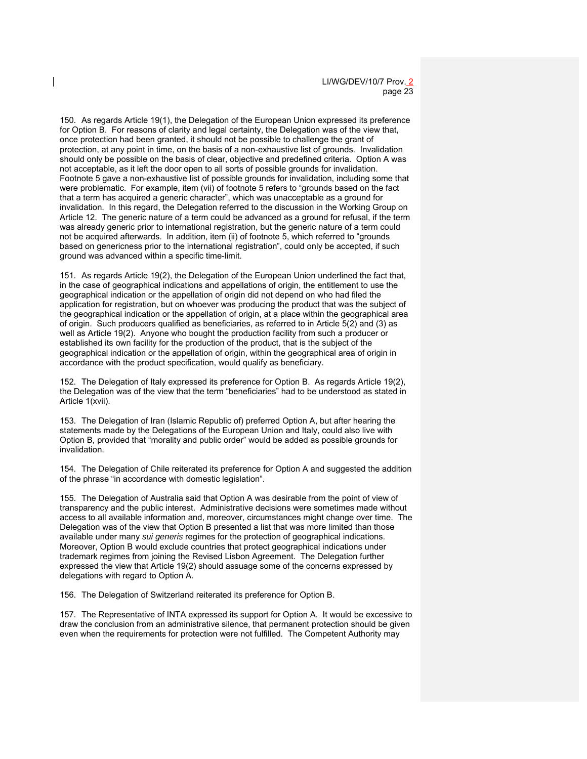150. As regards Article 19(1), the Delegation of the European Union expressed its preference for Option B. For reasons of clarity and legal certainty, the Delegation was of the view that, once protection had been granted, it should not be possible to challenge the grant of protection, at any point in time, on the basis of a non-exhaustive list of grounds. Invalidation should only be possible on the basis of clear, objective and predefined criteria. Option A was not acceptable, as it left the door open to all sorts of possible grounds for invalidation. Footnote 5 gave a non-exhaustive list of possible grounds for invalidation, including some that were problematic. For example, item (vii) of footnote 5 refers to "grounds based on the fact that a term has acquired a generic character", which was unacceptable as a ground for invalidation. In this regard, the Delegation referred to the discussion in the Working Group on Article 12. The generic nature of a term could be advanced as a ground for refusal, if the term was already generic prior to international registration, but the generic nature of a term could not be acquired afterwards. In addition, item (ii) of footnote 5, which referred to "grounds based on genericness prior to the international registration", could only be accepted, if such ground was advanced within a specific time-limit.

151. As regards Article 19(2), the Delegation of the European Union underlined the fact that, in the case of geographical indications and appellations of origin, the entitlement to use the geographical indication or the appellation of origin did not depend on who had filed the application for registration, but on whoever was producing the product that was the subject of the geographical indication or the appellation of origin, at a place within the geographical area of origin. Such producers qualified as beneficiaries, as referred to in Article 5(2) and (3) as well as Article 19(2). Anyone who bought the production facility from such a producer or established its own facility for the production of the product, that is the subject of the geographical indication or the appellation of origin, within the geographical area of origin in accordance with the product specification, would qualify as beneficiary.

152. The Delegation of Italy expressed its preference for Option B. As regards Article 19(2), the Delegation was of the view that the term "beneficiaries" had to be understood as stated in Article 1(xvii).

153. The Delegation of Iran (Islamic Republic of) preferred Option A, but after hearing the statements made by the Delegations of the European Union and Italy, could also live with Option B, provided that "morality and public order" would be added as possible grounds for invalidation.

154. The Delegation of Chile reiterated its preference for Option A and suggested the addition of the phrase "in accordance with domestic legislation".

155. The Delegation of Australia said that Option A was desirable from the point of view of transparency and the public interest. Administrative decisions were sometimes made without access to all available information and, moreover, circumstances might change over time. The Delegation was of the view that Option B presented a list that was more limited than those available under many *sui generis* regimes for the protection of geographical indications. Moreover, Option B would exclude countries that protect geographical indications under trademark regimes from joining the Revised Lisbon Agreement. The Delegation further expressed the view that Article 19(2) should assuage some of the concerns expressed by delegations with regard to Option A.

156. The Delegation of Switzerland reiterated its preference for Option B.

157. The Representative of INTA expressed its support for Option A. It would be excessive to draw the conclusion from an administrative silence, that permanent protection should be given even when the requirements for protection were not fulfilled. The Competent Authority may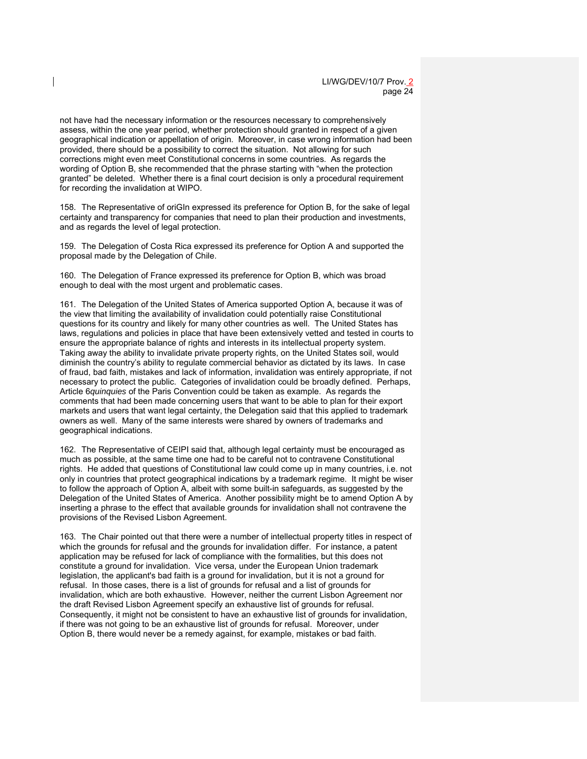not have had the necessary information or the resources necessary to comprehensively assess, within the one year period, whether protection should granted in respect of a given geographical indication or appellation of origin. Moreover, in case wrong information had been provided, there should be a possibility to correct the situation. Not allowing for such corrections might even meet Constitutional concerns in some countries. As regards the wording of Option B, she recommended that the phrase starting with "when the protection granted" be deleted. Whether there is a final court decision is only a procedural requirement for recording the invalidation at WIPO.

158. The Representative of oriGIn expressed its preference for Option B, for the sake of legal certainty and transparency for companies that need to plan their production and investments, and as regards the level of legal protection.

159. The Delegation of Costa Rica expressed its preference for Option A and supported the proposal made by the Delegation of Chile.

160. The Delegation of France expressed its preference for Option B, which was broad enough to deal with the most urgent and problematic cases.

161. The Delegation of the United States of America supported Option A, because it was of the view that limiting the availability of invalidation could potentially raise Constitutional questions for its country and likely for many other countries as well. The United States has laws, regulations and policies in place that have been extensively vetted and tested in courts to ensure the appropriate balance of rights and interests in its intellectual property system. Taking away the ability to invalidate private property rights, on the United States soil, would diminish the country's ability to regulate commercial behavior as dictated by its laws. In case of fraud, bad faith, mistakes and lack of information, invalidation was entirely appropriate, if not necessary to protect the public. Categories of invalidation could be broadly defined. Perhaps, Article 6*quinquies* of the Paris Convention could be taken as example. As regards the comments that had been made concerning users that want to be able to plan for their export markets and users that want legal certainty, the Delegation said that this applied to trademark owners as well. Many of the same interests were shared by owners of trademarks and geographical indications.

162. The Representative of CEIPI said that, although legal certainty must be encouraged as much as possible, at the same time one had to be careful not to contravene Constitutional rights. He added that questions of Constitutional law could come up in many countries, i.e. not only in countries that protect geographical indications by a trademark regime. It might be wiser to follow the approach of Option A, albeit with some built-in safeguards, as suggested by the Delegation of the United States of America. Another possibility might be to amend Option A by inserting a phrase to the effect that available grounds for invalidation shall not contravene the provisions of the Revised Lisbon Agreement.

163. The Chair pointed out that there were a number of intellectual property titles in respect of which the grounds for refusal and the grounds for invalidation differ. For instance, a patent application may be refused for lack of compliance with the formalities, but this does not constitute a ground for invalidation. Vice versa, under the European Union trademark legislation, the applicant's bad faith is a ground for invalidation, but it is not a ground for refusal. In those cases, there is a list of grounds for refusal and a list of grounds for invalidation, which are both exhaustive. However, neither the current Lisbon Agreement nor the draft Revised Lisbon Agreement specify an exhaustive list of grounds for refusal. Consequently, it might not be consistent to have an exhaustive list of grounds for invalidation, if there was not going to be an exhaustive list of grounds for refusal. Moreover, under Option B, there would never be a remedy against, for example, mistakes or bad faith.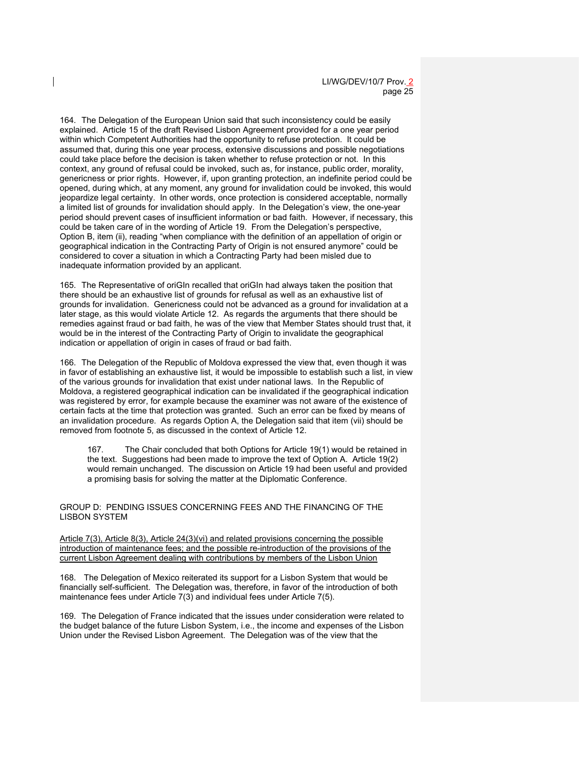164. The Delegation of the European Union said that such inconsistency could be easily explained. Article 15 of the draft Revised Lisbon Agreement provided for a one year period within which Competent Authorities had the opportunity to refuse protection. It could be assumed that, during this one year process, extensive discussions and possible negotiations could take place before the decision is taken whether to refuse protection or not. In this context, any ground of refusal could be invoked, such as, for instance, public order, morality, genericness or prior rights. However, if, upon granting protection, an indefinite period could be opened, during which, at any moment, any ground for invalidation could be invoked, this would jeopardize legal certainty. In other words, once protection is considered acceptable, normally a limited list of grounds for invalidation should apply. In the Delegation's view, the one-year period should prevent cases of insufficient information or bad faith. However, if necessary, this could be taken care of in the wording of Article 19. From the Delegation's perspective, Option B, item (ii), reading "when compliance with the definition of an appellation of origin or geographical indication in the Contracting Party of Origin is not ensured anymore" could be considered to cover a situation in which a Contracting Party had been misled due to inadequate information provided by an applicant.

165. The Representative of oriGIn recalled that oriGIn had always taken the position that there should be an exhaustive list of grounds for refusal as well as an exhaustive list of grounds for invalidation. Genericness could not be advanced as a ground for invalidation at a later stage, as this would violate Article 12. As regards the arguments that there should be remedies against fraud or bad faith, he was of the view that Member States should trust that, it would be in the interest of the Contracting Party of Origin to invalidate the geographical indication or appellation of origin in cases of fraud or bad faith.

166. The Delegation of the Republic of Moldova expressed the view that, even though it was in favor of establishing an exhaustive list, it would be impossible to establish such a list, in view of the various grounds for invalidation that exist under national laws. In the Republic of Moldova, a registered geographical indication can be invalidated if the geographical indication was registered by error, for example because the examiner was not aware of the existence of certain facts at the time that protection was granted. Such an error can be fixed by means of an invalidation procedure. As regards Option A, the Delegation said that item (vii) should be removed from footnote 5, as discussed in the context of Article 12.

167. The Chair concluded that both Options for Article 19(1) would be retained in the text. Suggestions had been made to improve the text of Option A. Article 19(2) would remain unchanged. The discussion on Article 19 had been useful and provided a promising basis for solving the matter at the Diplomatic Conference.

GROUP D: PENDING ISSUES CONCERNING FEES AND THE FINANCING OF THE LISBON SYSTEM

Article 7(3), Article 8(3), Article 24(3)(vi) and related provisions concerning the possible introduction of maintenance fees; and the possible re-introduction of the provisions of the current Lisbon Agreement dealing with contributions by members of the Lisbon Union

168. The Delegation of Mexico reiterated its support for a Lisbon System that would be financially self-sufficient. The Delegation was, therefore, in favor of the introduction of both maintenance fees under Article 7(3) and individual fees under Article 7(5).

169. The Delegation of France indicated that the issues under consideration were related to the budget balance of the future Lisbon System, i.e., the income and expenses of the Lisbon Union under the Revised Lisbon Agreement. The Delegation was of the view that the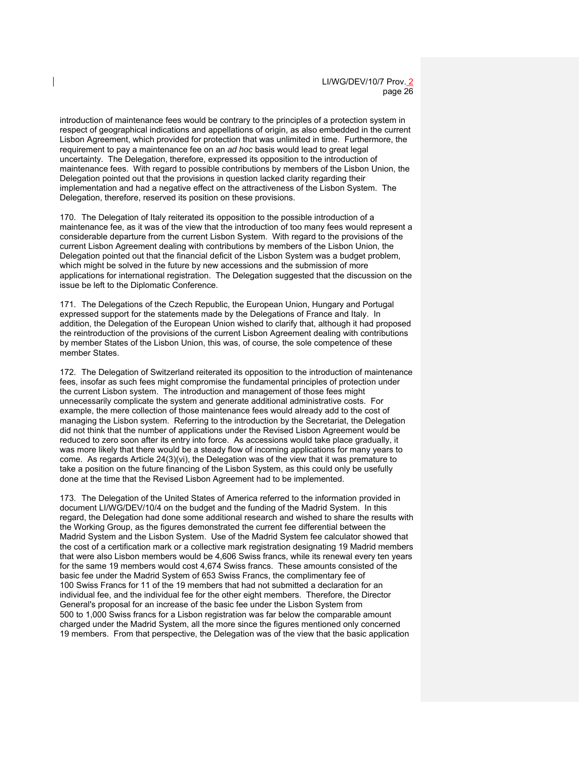introduction of maintenance fees would be contrary to the principles of a protection system in respect of geographical indications and appellations of origin, as also embedded in the current Lisbon Agreement, which provided for protection that was unlimited in time. Furthermore, the requirement to pay a maintenance fee on an *ad hoc* basis would lead to great legal uncertainty. The Delegation, therefore, expressed its opposition to the introduction of maintenance fees. With regard to possible contributions by members of the Lisbon Union, the Delegation pointed out that the provisions in question lacked clarity regarding their implementation and had a negative effect on the attractiveness of the Lisbon System. The Delegation, therefore, reserved its position on these provisions.

170. The Delegation of Italy reiterated its opposition to the possible introduction of a maintenance fee, as it was of the view that the introduction of too many fees would represent a considerable departure from the current Lisbon System. With regard to the provisions of the current Lisbon Agreement dealing with contributions by members of the Lisbon Union, the Delegation pointed out that the financial deficit of the Lisbon System was a budget problem, which might be solved in the future by new accessions and the submission of more applications for international registration. The Delegation suggested that the discussion on the issue be left to the Diplomatic Conference.

171. The Delegations of the Czech Republic, the European Union, Hungary and Portugal expressed support for the statements made by the Delegations of France and Italy. In addition, the Delegation of the European Union wished to clarify that, although it had proposed the reintroduction of the provisions of the current Lisbon Agreement dealing with contributions by member States of the Lisbon Union, this was, of course, the sole competence of these member States.

172. The Delegation of Switzerland reiterated its opposition to the introduction of maintenance fees, insofar as such fees might compromise the fundamental principles of protection under the current Lisbon system. The introduction and management of those fees might unnecessarily complicate the system and generate additional administrative costs. For example, the mere collection of those maintenance fees would already add to the cost of managing the Lisbon system. Referring to the introduction by the Secretariat, the Delegation did not think that the number of applications under the Revised Lisbon Agreement would be reduced to zero soon after its entry into force. As accessions would take place gradually, it was more likely that there would be a steady flow of incoming applications for many years to come. As regards Article 24(3)(vi), the Delegation was of the view that it was premature to take a position on the future financing of the Lisbon System, as this could only be usefully done at the time that the Revised Lisbon Agreement had to be implemented.

173. The Delegation of the United States of America referred to the information provided in document LI/WG/DEV/10/4 on the budget and the funding of the Madrid System. In this regard, the Delegation had done some additional research and wished to share the results with the Working Group, as the figures demonstrated the current fee differential between the Madrid System and the Lisbon System. Use of the Madrid System fee calculator showed that the cost of a certification mark or a collective mark registration designating 19 Madrid members that were also Lisbon members would be 4,606 Swiss francs, while its renewal every ten years for the same 19 members would cost 4,674 Swiss francs. These amounts consisted of the basic fee under the Madrid System of 653 Swiss Francs, the complimentary fee of 100 Swiss Francs for 11 of the 19 members that had not submitted a declaration for an individual fee, and the individual fee for the other eight members. Therefore, the Director General's proposal for an increase of the basic fee under the Lisbon System from 500 to 1,000 Swiss francs for a Lisbon registration was far below the comparable amount charged under the Madrid System, all the more since the figures mentioned only concerned 19 members. From that perspective, the Delegation was of the view that the basic application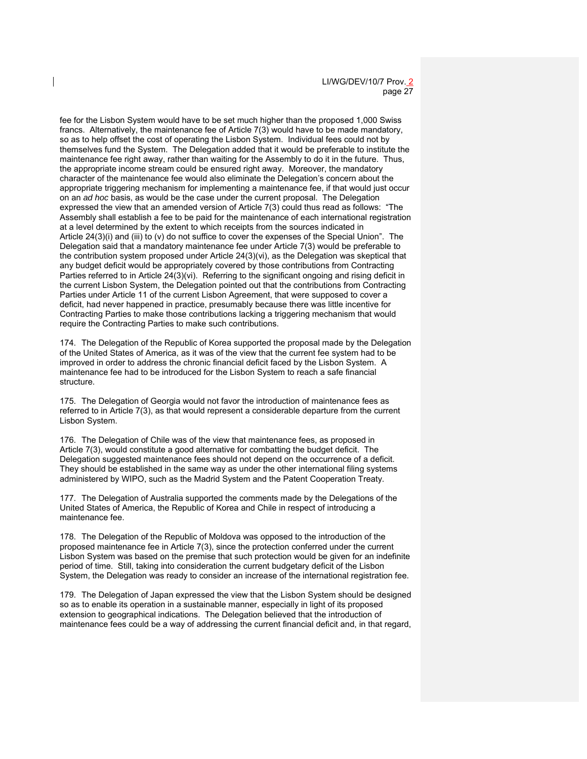fee for the Lisbon System would have to be set much higher than the proposed 1,000 Swiss francs. Alternatively, the maintenance fee of Article 7(3) would have to be made mandatory, so as to help offset the cost of operating the Lisbon System. Individual fees could not by themselves fund the System. The Delegation added that it would be preferable to institute the maintenance fee right away, rather than waiting for the Assembly to do it in the future. Thus, the appropriate income stream could be ensured right away. Moreover, the mandatory character of the maintenance fee would also eliminate the Delegation's concern about the appropriate triggering mechanism for implementing a maintenance fee, if that would just occur on an *ad hoc* basis, as would be the case under the current proposal. The Delegation expressed the view that an amended version of Article 7(3) could thus read as follows: "The Assembly shall establish a fee to be paid for the maintenance of each international registration at a level determined by the extent to which receipts from the sources indicated in Article 24(3)(i) and (iii) to (v) do not suffice to cover the expenses of the Special Union". The Delegation said that a mandatory maintenance fee under Article 7(3) would be preferable to the contribution system proposed under Article 24(3)(vi), as the Delegation was skeptical that any budget deficit would be appropriately covered by those contributions from Contracting Parties referred to in Article 24(3)(vi). Referring to the significant ongoing and rising deficit in the current Lisbon System, the Delegation pointed out that the contributions from Contracting Parties under Article 11 of the current Lisbon Agreement, that were supposed to cover a deficit, had never happened in practice, presumably because there was little incentive for Contracting Parties to make those contributions lacking a triggering mechanism that would require the Contracting Parties to make such contributions.

174. The Delegation of the Republic of Korea supported the proposal made by the Delegation of the United States of America, as it was of the view that the current fee system had to be improved in order to address the chronic financial deficit faced by the Lisbon System. A maintenance fee had to be introduced for the Lisbon System to reach a safe financial structure.

175. The Delegation of Georgia would not favor the introduction of maintenance fees as referred to in Article 7(3), as that would represent a considerable departure from the current Lisbon System.

176. The Delegation of Chile was of the view that maintenance fees, as proposed in Article 7(3), would constitute a good alternative for combatting the budget deficit. The Delegation suggested maintenance fees should not depend on the occurrence of a deficit. They should be established in the same way as under the other international filing systems administered by WIPO, such as the Madrid System and the Patent Cooperation Treaty.

177. The Delegation of Australia supported the comments made by the Delegations of the United States of America, the Republic of Korea and Chile in respect of introducing a maintenance fee.

178. The Delegation of the Republic of Moldova was opposed to the introduction of the proposed maintenance fee in Article 7(3), since the protection conferred under the current Lisbon System was based on the premise that such protection would be given for an indefinite period of time. Still, taking into consideration the current budgetary deficit of the Lisbon System, the Delegation was ready to consider an increase of the international registration fee.

179. The Delegation of Japan expressed the view that the Lisbon System should be designed so as to enable its operation in a sustainable manner, especially in light of its proposed extension to geographical indications. The Delegation believed that the introduction of maintenance fees could be a way of addressing the current financial deficit and, in that regard,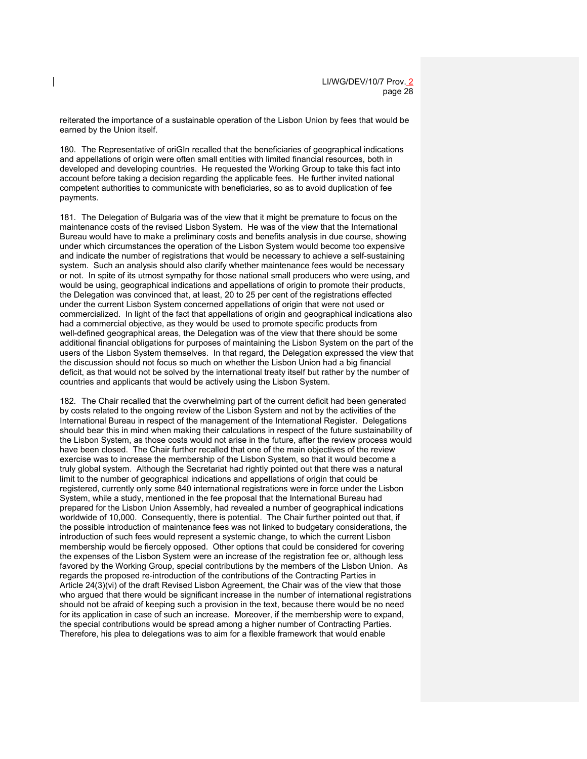reiterated the importance of a sustainable operation of the Lisbon Union by fees that would be earned by the Union itself.

180. The Representative of oriGIn recalled that the beneficiaries of geographical indications and appellations of origin were often small entities with limited financial resources, both in developed and developing countries. He requested the Working Group to take this fact into account before taking a decision regarding the applicable fees. He further invited national competent authorities to communicate with beneficiaries, so as to avoid duplication of fee payments.

181. The Delegation of Bulgaria was of the view that it might be premature to focus on the maintenance costs of the revised Lisbon System. He was of the view that the International Bureau would have to make a preliminary costs and benefits analysis in due course, showing under which circumstances the operation of the Lisbon System would become too expensive and indicate the number of registrations that would be necessary to achieve a self-sustaining system. Such an analysis should also clarify whether maintenance fees would be necessary or not. In spite of its utmost sympathy for those national small producers who were using, and would be using, geographical indications and appellations of origin to promote their products, the Delegation was convinced that, at least, 20 to 25 per cent of the registrations effected under the current Lisbon System concerned appellations of origin that were not used or commercialized. In light of the fact that appellations of origin and geographical indications also had a commercial objective, as they would be used to promote specific products from well-defined geographical areas, the Delegation was of the view that there should be some additional financial obligations for purposes of maintaining the Lisbon System on the part of the users of the Lisbon System themselves. In that regard, the Delegation expressed the view that the discussion should not focus so much on whether the Lisbon Union had a big financial deficit, as that would not be solved by the international treaty itself but rather by the number of countries and applicants that would be actively using the Lisbon System.

182. The Chair recalled that the overwhelming part of the current deficit had been generated by costs related to the ongoing review of the Lisbon System and not by the activities of the International Bureau in respect of the management of the International Register. Delegations should bear this in mind when making their calculations in respect of the future sustainability of the Lisbon System, as those costs would not arise in the future, after the review process would have been closed. The Chair further recalled that one of the main objectives of the review exercise was to increase the membership of the Lisbon System, so that it would become a truly global system. Although the Secretariat had rightly pointed out that there was a natural limit to the number of geographical indications and appellations of origin that could be registered, currently only some 840 international registrations were in force under the Lisbon System, while a study, mentioned in the fee proposal that the International Bureau had prepared for the Lisbon Union Assembly, had revealed a number of geographical indications worldwide of 10,000. Consequently, there is potential. The Chair further pointed out that, if the possible introduction of maintenance fees was not linked to budgetary considerations, the introduction of such fees would represent a systemic change, to which the current Lisbon membership would be fiercely opposed. Other options that could be considered for covering the expenses of the Lisbon System were an increase of the registration fee or, although less favored by the Working Group, special contributions by the members of the Lisbon Union. As regards the proposed re-introduction of the contributions of the Contracting Parties in Article 24(3)(vi) of the draft Revised Lisbon Agreement, the Chair was of the view that those who argued that there would be significant increase in the number of international registrations should not be afraid of keeping such a provision in the text, because there would be no need for its application in case of such an increase. Moreover, if the membership were to expand, the special contributions would be spread among a higher number of Contracting Parties. Therefore, his plea to delegations was to aim for a flexible framework that would enable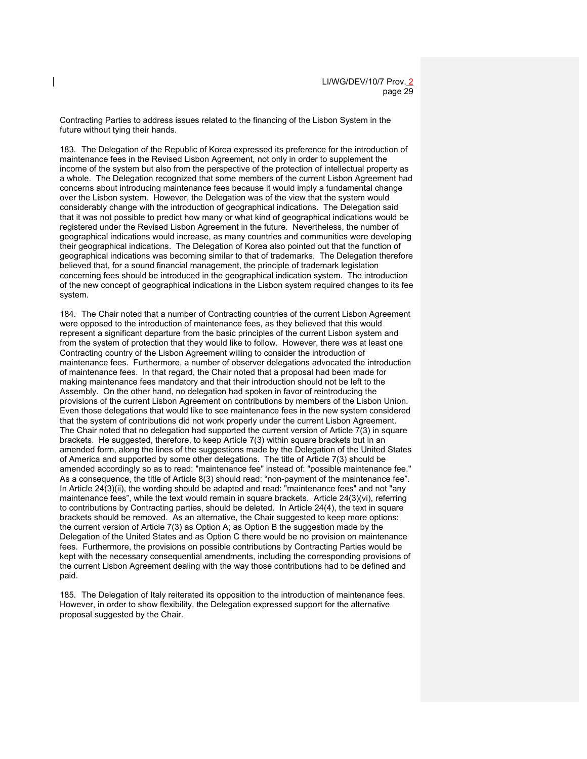Contracting Parties to address issues related to the financing of the Lisbon System in the future without tying their hands.

183. The Delegation of the Republic of Korea expressed its preference for the introduction of maintenance fees in the Revised Lisbon Agreement, not only in order to supplement the income of the system but also from the perspective of the protection of intellectual property as a whole. The Delegation recognized that some members of the current Lisbon Agreement had concerns about introducing maintenance fees because it would imply a fundamental change over the Lisbon system. However, the Delegation was of the view that the system would considerably change with the introduction of geographical indications. The Delegation said that it was not possible to predict how many or what kind of geographical indications would be registered under the Revised Lisbon Agreement in the future. Nevertheless, the number of geographical indications would increase, as many countries and communities were developing their geographical indications. The Delegation of Korea also pointed out that the function of geographical indications was becoming similar to that of trademarks. The Delegation therefore believed that, for a sound financial management, the principle of trademark legislation concerning fees should be introduced in the geographical indication system. The introduction of the new concept of geographical indications in the Lisbon system required changes to its fee system.

184. The Chair noted that a number of Contracting countries of the current Lisbon Agreement were opposed to the introduction of maintenance fees, as they believed that this would represent a significant departure from the basic principles of the current Lisbon system and from the system of protection that they would like to follow. However, there was at least one Contracting country of the Lisbon Agreement willing to consider the introduction of maintenance fees. Furthermore, a number of observer delegations advocated the introduction of maintenance fees. In that regard, the Chair noted that a proposal had been made for making maintenance fees mandatory and that their introduction should not be left to the Assembly. On the other hand, no delegation had spoken in favor of reintroducing the provisions of the current Lisbon Agreement on contributions by members of the Lisbon Union. Even those delegations that would like to see maintenance fees in the new system considered that the system of contributions did not work properly under the current Lisbon Agreement. The Chair noted that no delegation had supported the current version of Article 7(3) in square brackets. He suggested, therefore, to keep Article 7(3) within square brackets but in an amended form, along the lines of the suggestions made by the Delegation of the United States of America and supported by some other delegations. The title of Article 7(3) should be amended accordingly so as to read: "maintenance fee" instead of: "possible maintenance fee." As a consequence, the title of Article 8(3) should read: "non-payment of the maintenance fee". In Article 24(3)(ii), the wording should be adapted and read: "maintenance fees" and not "any maintenance fees", while the text would remain in square brackets. Article 24(3)(vi), referring to contributions by Contracting parties, should be deleted. In Article 24(4), the text in square brackets should be removed. As an alternative, the Chair suggested to keep more options: the current version of Article 7(3) as Option A; as Option B the suggestion made by the Delegation of the United States and as Option C there would be no provision on maintenance fees. Furthermore, the provisions on possible contributions by Contracting Parties would be kept with the necessary consequential amendments, including the corresponding provisions of the current Lisbon Agreement dealing with the way those contributions had to be defined and paid.

185. The Delegation of Italy reiterated its opposition to the introduction of maintenance fees. However, in order to show flexibility, the Delegation expressed support for the alternative proposal suggested by the Chair.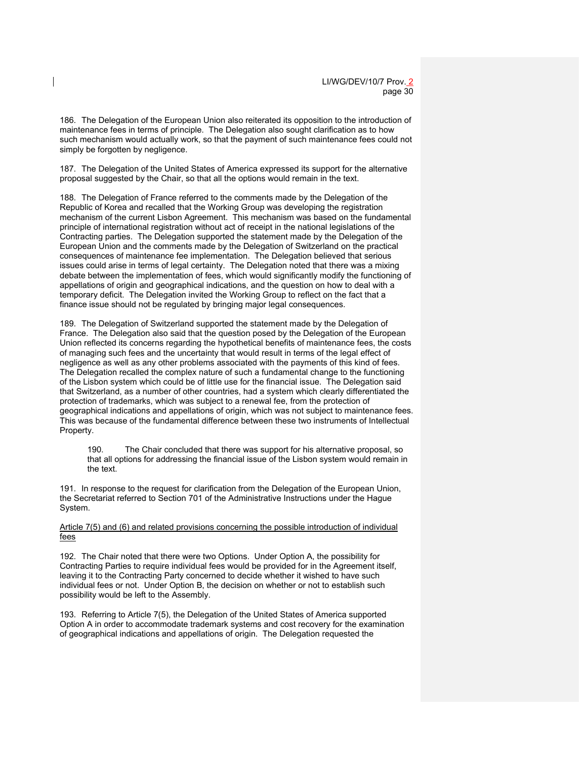186. The Delegation of the European Union also reiterated its opposition to the introduction of maintenance fees in terms of principle. The Delegation also sought clarification as to how such mechanism would actually work, so that the payment of such maintenance fees could not simply be forgotten by negligence.

187. The Delegation of the United States of America expressed its support for the alternative proposal suggested by the Chair, so that all the options would remain in the text.

188. The Delegation of France referred to the comments made by the Delegation of the Republic of Korea and recalled that the Working Group was developing the registration mechanism of the current Lisbon Agreement. This mechanism was based on the fundamental principle of international registration without act of receipt in the national legislations of the Contracting parties. The Delegation supported the statement made by the Delegation of the European Union and the comments made by the Delegation of Switzerland on the practical consequences of maintenance fee implementation. The Delegation believed that serious issues could arise in terms of legal certainty. The Delegation noted that there was a mixing debate between the implementation of fees, which would significantly modify the functioning of appellations of origin and geographical indications, and the question on how to deal with a temporary deficit. The Delegation invited the Working Group to reflect on the fact that a finance issue should not be regulated by bringing major legal consequences.

189. The Delegation of Switzerland supported the statement made by the Delegation of France. The Delegation also said that the question posed by the Delegation of the European Union reflected its concerns regarding the hypothetical benefits of maintenance fees, the costs of managing such fees and the uncertainty that would result in terms of the legal effect of negligence as well as any other problems associated with the payments of this kind of fees. The Delegation recalled the complex nature of such a fundamental change to the functioning of the Lisbon system which could be of little use for the financial issue. The Delegation said that Switzerland, as a number of other countries, had a system which clearly differentiated the protection of trademarks, which was subject to a renewal fee, from the protection of geographical indications and appellations of origin, which was not subject to maintenance fees. This was because of the fundamental difference between these two instruments of Intellectual Property.

190. The Chair concluded that there was support for his alternative proposal, so that all options for addressing the financial issue of the Lisbon system would remain in the text.

191. In response to the request for clarification from the Delegation of the European Union, the Secretariat referred to Section 701 of the Administrative Instructions under the Hague System.

Article 7(5) and (6) and related provisions concerning the possible introduction of individual fees

192. The Chair noted that there were two Options. Under Option A, the possibility for Contracting Parties to require individual fees would be provided for in the Agreement itself, leaving it to the Contracting Party concerned to decide whether it wished to have such individual fees or not. Under Option B, the decision on whether or not to establish such possibility would be left to the Assembly.

193. Referring to Article 7(5), the Delegation of the United States of America supported Option A in order to accommodate trademark systems and cost recovery for the examination of geographical indications and appellations of origin. The Delegation requested the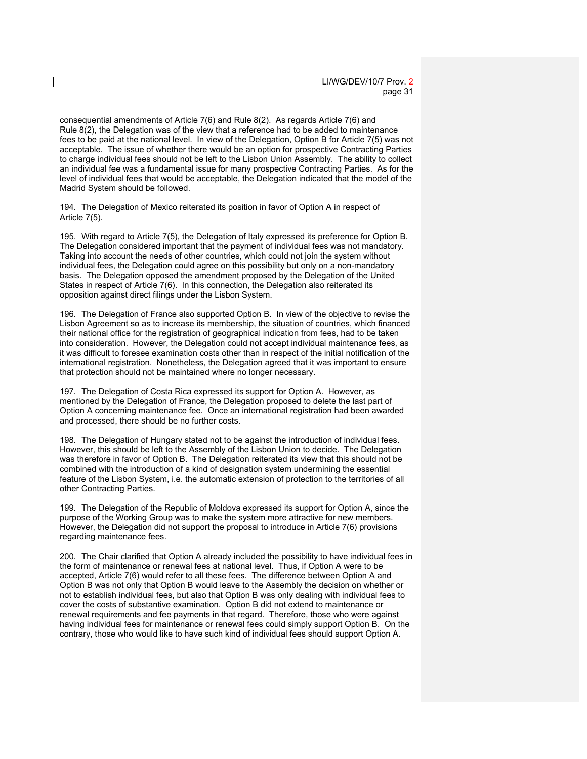consequential amendments of Article 7(6) and Rule 8(2). As regards Article 7(6) and Rule 8(2), the Delegation was of the view that a reference had to be added to maintenance fees to be paid at the national level. In view of the Delegation, Option B for Article 7(5) was not acceptable. The issue of whether there would be an option for prospective Contracting Parties to charge individual fees should not be left to the Lisbon Union Assembly. The ability to collect an individual fee was a fundamental issue for many prospective Contracting Parties. As for the level of individual fees that would be acceptable, the Delegation indicated that the model of the Madrid System should be followed.

194. The Delegation of Mexico reiterated its position in favor of Option A in respect of Article 7(5).

195. With regard to Article 7(5), the Delegation of Italy expressed its preference for Option B. The Delegation considered important that the payment of individual fees was not mandatory. Taking into account the needs of other countries, which could not join the system without individual fees, the Delegation could agree on this possibility but only on a non-mandatory basis. The Delegation opposed the amendment proposed by the Delegation of the United States in respect of Article 7(6). In this connection, the Delegation also reiterated its opposition against direct filings under the Lisbon System.

196. The Delegation of France also supported Option B. In view of the objective to revise the Lisbon Agreement so as to increase its membership, the situation of countries, which financed their national office for the registration of geographical indication from fees, had to be taken into consideration. However, the Delegation could not accept individual maintenance fees, as it was difficult to foresee examination costs other than in respect of the initial notification of the international registration. Nonetheless, the Delegation agreed that it was important to ensure that protection should not be maintained where no longer necessary.

197. The Delegation of Costa Rica expressed its support for Option A. However, as mentioned by the Delegation of France, the Delegation proposed to delete the last part of Option A concerning maintenance fee. Once an international registration had been awarded and processed, there should be no further costs.

198. The Delegation of Hungary stated not to be against the introduction of individual fees. However, this should be left to the Assembly of the Lisbon Union to decide. The Delegation was therefore in favor of Option B. The Delegation reiterated its view that this should not be combined with the introduction of a kind of designation system undermining the essential feature of the Lisbon System, i.e. the automatic extension of protection to the territories of all other Contracting Parties.

199. The Delegation of the Republic of Moldova expressed its support for Option A, since the purpose of the Working Group was to make the system more attractive for new members. However, the Delegation did not support the proposal to introduce in Article 7(6) provisions regarding maintenance fees.

200. The Chair clarified that Option A already included the possibility to have individual fees in the form of maintenance or renewal fees at national level. Thus, if Option A were to be accepted, Article 7(6) would refer to all these fees. The difference between Option A and Option B was not only that Option B would leave to the Assembly the decision on whether or not to establish individual fees, but also that Option B was only dealing with individual fees to cover the costs of substantive examination. Option B did not extend to maintenance or renewal requirements and fee payments in that regard. Therefore, those who were against having individual fees for maintenance or renewal fees could simply support Option B. On the contrary, those who would like to have such kind of individual fees should support Option A.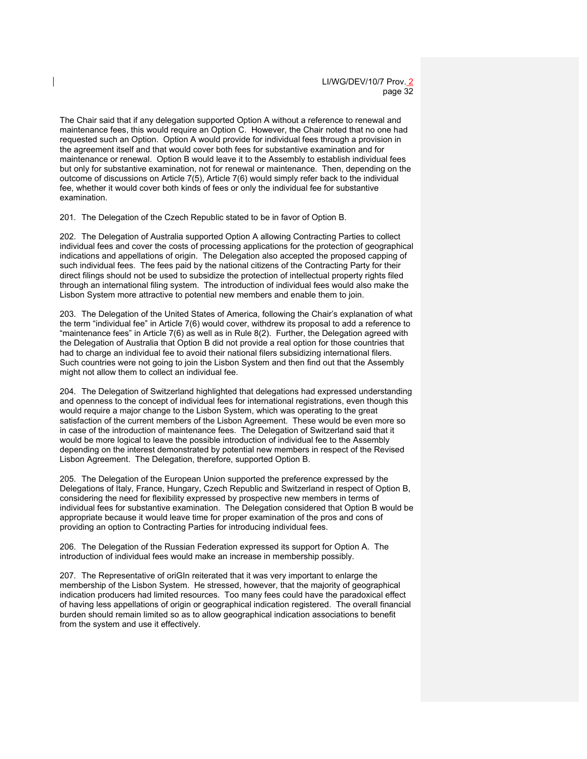The Chair said that if any delegation supported Option A without a reference to renewal and maintenance fees, this would require an Option C. However, the Chair noted that no one had requested such an Option. Option A would provide for individual fees through a provision in the agreement itself and that would cover both fees for substantive examination and for maintenance or renewal. Option B would leave it to the Assembly to establish individual fees but only for substantive examination, not for renewal or maintenance. Then, depending on the outcome of discussions on Article 7(5), Article 7(6) would simply refer back to the individual fee, whether it would cover both kinds of fees or only the individual fee for substantive examination.

201. The Delegation of the Czech Republic stated to be in favor of Option B.

202. The Delegation of Australia supported Option A allowing Contracting Parties to collect individual fees and cover the costs of processing applications for the protection of geographical indications and appellations of origin. The Delegation also accepted the proposed capping of such individual fees. The fees paid by the national citizens of the Contracting Party for their direct filings should not be used to subsidize the protection of intellectual property rights filed through an international filing system. The introduction of individual fees would also make the Lisbon System more attractive to potential new members and enable them to join.

203. The Delegation of the United States of America, following the Chair's explanation of what the term "individual fee" in Article 7(6) would cover, withdrew its proposal to add a reference to "maintenance fees" in Article 7(6) as well as in Rule 8(2). Further, the Delegation agreed with the Delegation of Australia that Option B did not provide a real option for those countries that had to charge an individual fee to avoid their national filers subsidizing international filers. Such countries were not going to join the Lisbon System and then find out that the Assembly might not allow them to collect an individual fee.

204. The Delegation of Switzerland highlighted that delegations had expressed understanding and openness to the concept of individual fees for international registrations, even though this would require a major change to the Lisbon System, which was operating to the great satisfaction of the current members of the Lisbon Agreement. These would be even more so in case of the introduction of maintenance fees. The Delegation of Switzerland said that it would be more logical to leave the possible introduction of individual fee to the Assembly depending on the interest demonstrated by potential new members in respect of the Revised Lisbon Agreement. The Delegation, therefore, supported Option B.

205. The Delegation of the European Union supported the preference expressed by the Delegations of Italy, France, Hungary, Czech Republic and Switzerland in respect of Option B, considering the need for flexibility expressed by prospective new members in terms of individual fees for substantive examination. The Delegation considered that Option B would be appropriate because it would leave time for proper examination of the pros and cons of providing an option to Contracting Parties for introducing individual fees.

206. The Delegation of the Russian Federation expressed its support for Option A. The introduction of individual fees would make an increase in membership possibly.

207. The Representative of oriGIn reiterated that it was very important to enlarge the membership of the Lisbon System. He stressed, however, that the majority of geographical indication producers had limited resources. Too many fees could have the paradoxical effect of having less appellations of origin or geographical indication registered. The overall financial burden should remain limited so as to allow geographical indication associations to benefit from the system and use it effectively.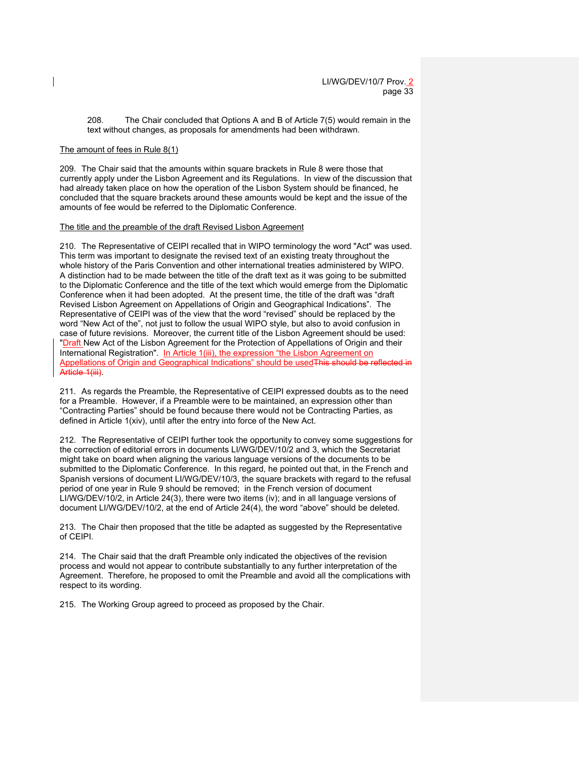208. The Chair concluded that Options A and B of Article 7(5) would remain in the text without changes, as proposals for amendments had been withdrawn.

#### The amount of fees in Rule 8(1)

209. The Chair said that the amounts within square brackets in Rule 8 were those that currently apply under the Lisbon Agreement and its Regulations. In view of the discussion that had already taken place on how the operation of the Lisbon System should be financed, he concluded that the square brackets around these amounts would be kept and the issue of the amounts of fee would be referred to the Diplomatic Conference.

#### The title and the preamble of the draft Revised Lisbon Agreement

210. The Representative of CEIPI recalled that in WIPO terminology the word "Act" was used. This term was important to designate the revised text of an existing treaty throughout the whole history of the Paris Convention and other international treaties administered by WIPO. A distinction had to be made between the title of the draft text as it was going to be submitted to the Diplomatic Conference and the title of the text which would emerge from the Diplomatic Conference when it had been adopted. At the present time, the title of the draft was "draft Revised Lisbon Agreement on Appellations of Origin and Geographical Indications". The Representative of CEIPI was of the view that the word "revised" should be replaced by the word "New Act of the", not just to follow the usual WIPO style, but also to avoid confusion in case of future revisions. Moreover, the current title of the Lisbon Agreement should be used: "Draft New Act of the Lisbon Agreement for the Protection of Appellations of Origin and their International Registration". In Article 1(iii), the expression "the Lisbon Agreement on Appellations of Origin and Geographical Indications" should be used This should be refle Article 1(iii).

211. As regards the Preamble, the Representative of CEIPI expressed doubts as to the need for a Preamble. However, if a Preamble were to be maintained, an expression other than "Contracting Parties" should be found because there would not be Contracting Parties, as defined in Article 1(xiv), until after the entry into force of the New Act.

212. The Representative of CEIPI further took the opportunity to convey some suggestions for the correction of editorial errors in documents LI/WG/DEV/10/2 and 3, which the Secretariat might take on board when aligning the various language versions of the documents to be submitted to the Diplomatic Conference. In this regard, he pointed out that, in the French and Spanish versions of document LI/WG/DEV/10/3, the square brackets with regard to the refusal period of one year in Rule 9 should be removed; in the French version of document LI/WG/DEV/10/2, in Article 24(3), there were two items (iv); and in all language versions of document LI/WG/DEV/10/2, at the end of Article 24(4), the word "above" should be deleted.

213. The Chair then proposed that the title be adapted as suggested by the Representative of CEIPI.

214. The Chair said that the draft Preamble only indicated the objectives of the revision process and would not appear to contribute substantially to any further interpretation of the Agreement. Therefore, he proposed to omit the Preamble and avoid all the complications with respect to its wording.

215. The Working Group agreed to proceed as proposed by the Chair.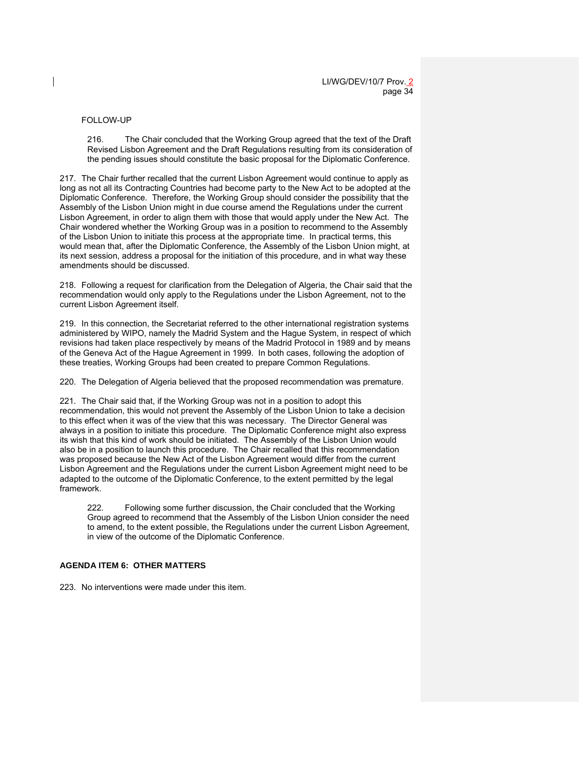#### FOLLOW-UP

216. The Chair concluded that the Working Group agreed that the text of the Draft Revised Lisbon Agreement and the Draft Regulations resulting from its consideration of the pending issues should constitute the basic proposal for the Diplomatic Conference.

217. The Chair further recalled that the current Lisbon Agreement would continue to apply as long as not all its Contracting Countries had become party to the New Act to be adopted at the Diplomatic Conference. Therefore, the Working Group should consider the possibility that the Assembly of the Lisbon Union might in due course amend the Regulations under the current Lisbon Agreement, in order to align them with those that would apply under the New Act. The Chair wondered whether the Working Group was in a position to recommend to the Assembly of the Lisbon Union to initiate this process at the appropriate time. In practical terms, this would mean that, after the Diplomatic Conference, the Assembly of the Lisbon Union might, at its next session, address a proposal for the initiation of this procedure, and in what way these amendments should be discussed.

218. Following a request for clarification from the Delegation of Algeria, the Chair said that the recommendation would only apply to the Regulations under the Lisbon Agreement, not to the current Lisbon Agreement itself.

219. In this connection, the Secretariat referred to the other international registration systems administered by WIPO, namely the Madrid System and the Hague System, in respect of which revisions had taken place respectively by means of the Madrid Protocol in 1989 and by means of the Geneva Act of the Hague Agreement in 1999. In both cases, following the adoption of these treaties, Working Groups had been created to prepare Common Regulations.

220. The Delegation of Algeria believed that the proposed recommendation was premature.

221. The Chair said that, if the Working Group was not in a position to adopt this recommendation, this would not prevent the Assembly of the Lisbon Union to take a decision to this effect when it was of the view that this was necessary. The Director General was always in a position to initiate this procedure. The Diplomatic Conference might also express its wish that this kind of work should be initiated. The Assembly of the Lisbon Union would also be in a position to launch this procedure. The Chair recalled that this recommendation was proposed because the New Act of the Lisbon Agreement would differ from the current Lisbon Agreement and the Regulations under the current Lisbon Agreement might need to be adapted to the outcome of the Diplomatic Conference, to the extent permitted by the legal framework.

222. Following some further discussion, the Chair concluded that the Working Group agreed to recommend that the Assembly of the Lisbon Union consider the need to amend, to the extent possible, the Regulations under the current Lisbon Agreement, in view of the outcome of the Diplomatic Conference.

# **AGENDA ITEM 6: OTHER MATTERS**

223. No interventions were made under this item.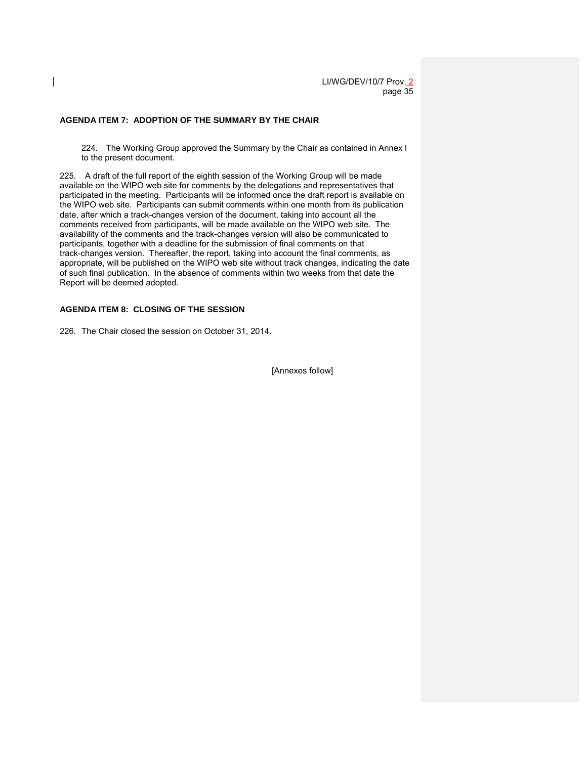#### **AGENDA ITEM 7: ADOPTION OF THE SUMMARY BY THE CHAIR**

224. The Working Group approved the Summary by the Chair as contained in Annex I to the present document.

225. A draft of the full report of the eighth session of the Working Group will be made available on the WIPO web site for comments by the delegations and representatives that participated in the meeting. Participants will be informed once the draft report is available on the WIPO web site. Participants can submit comments within one month from its publication date, after which a track-changes version of the document, taking into account all the comments received from participants, will be made available on the WIPO web site. The availability of the comments and the track-changes version will also be communicated to participants, together with a deadline for the submission of final comments on that track-changes version. Thereafter, the report, taking into account the final comments, as appropriate, will be published on the WIPO web site without track changes, indicating the date of such final publication. In the absence of comments within two weeks from that date the Report will be deemed adopted.

### **AGENDA ITEM 8: CLOSING OF THE SESSION**

226. The Chair closed the session on October 31, 2014.

[Annexes follow]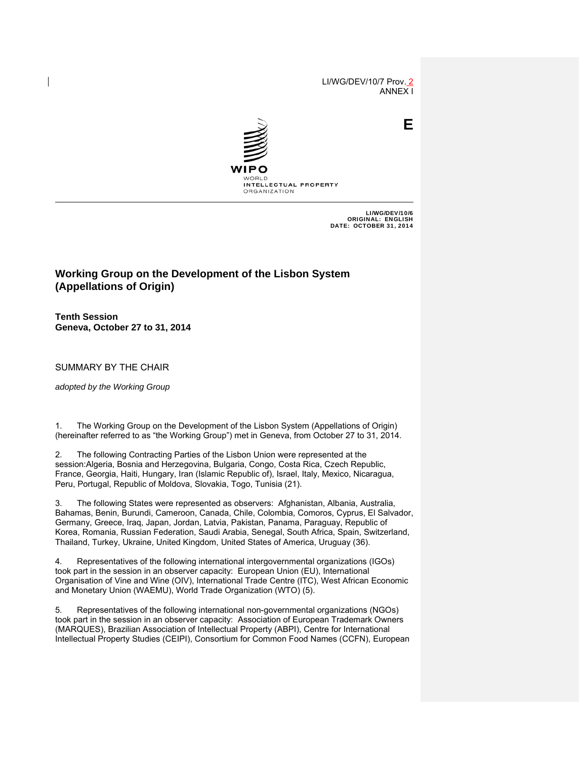LI/WG/DEV/10/7 Prov. 2 ANNEX I

**E**



LI/WG/DEV/10/6 ORIGINAL: ENGLISH DATE: OCTOBER 31, 2014

# **Working Group on the Development of the Lisbon System (Appellations of Origin)**

**Tenth Session Geneva, October 27 to 31, 2014** 

SUMMARY BY THE CHAIR

*adopted by the Working Group*

1. The Working Group on the Development of the Lisbon System (Appellations of Origin) (hereinafter referred to as "the Working Group") met in Geneva, from October 27 to 31, 2014.

2. The following Contracting Parties of the Lisbon Union were represented at the session:Algeria, Bosnia and Herzegovina, Bulgaria, Congo, Costa Rica, Czech Republic, France, Georgia, Haiti, Hungary, Iran (Islamic Republic of), Israel, Italy, Mexico, Nicaragua, Peru, Portugal, Republic of Moldova, Slovakia, Togo, Tunisia (21).

3. The following States were represented as observers: Afghanistan, Albania, Australia, Bahamas, Benin, Burundi, Cameroon, Canada, Chile, Colombia, Comoros, Cyprus, El Salvador, Germany, Greece, Iraq, Japan, Jordan, Latvia, Pakistan, Panama, Paraguay, Republic of Korea, Romania, Russian Federation, Saudi Arabia, Senegal, South Africa, Spain, Switzerland, Thailand, Turkey, Ukraine, United Kingdom, United States of America, Uruguay (36).

4. Representatives of the following international intergovernmental organizations (IGOs) took part in the session in an observer capacity: European Union (EU), International Organisation of Vine and Wine (OIV), International Trade Centre (ITC), West African Economic and Monetary Union (WAEMU), World Trade Organization (WTO) (5).

5. Representatives of the following international non-governmental organizations (NGOs) took part in the session in an observer capacity: Association of European Trademark Owners (MARQUES), Brazilian Association of Intellectual Property (ABPI), Centre for International Intellectual Property Studies (CEIPI), Consortium for Common Food Names (CCFN), European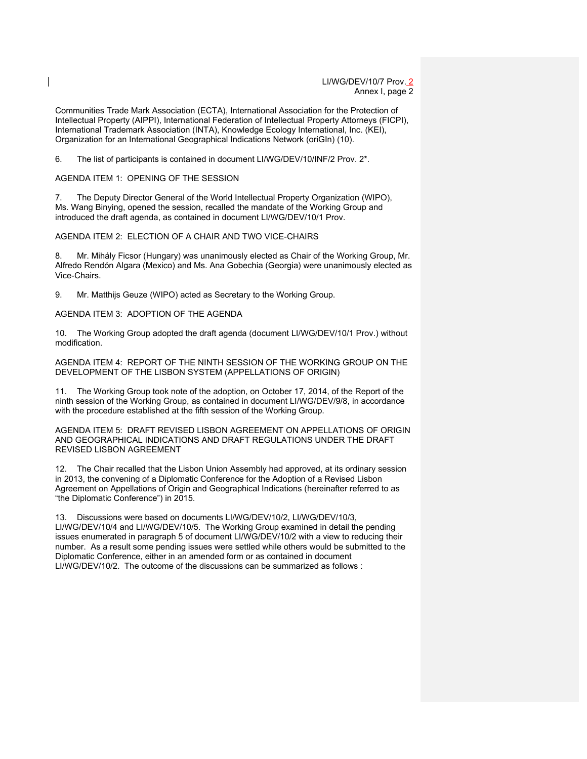Communities Trade Mark Association (ECTA), International Association for the Protection of Intellectual Property (AIPPI), International Federation of Intellectual Property Attorneys (FICPI), International Trademark Association (INTA), Knowledge Ecology International, Inc. (KEI), Organization for an International Geographical Indications Network (oriGIn) (10).

6. The list of participants is contained in document LI/WG/DEV/10/INF/2 Prov. 2\*.

AGENDA ITEM 1: OPENING OF THE SESSION

7. The Deputy Director General of the World Intellectual Property Organization (WIPO), Ms. Wang Binying, opened the session, recalled the mandate of the Working Group and introduced the draft agenda, as contained in document LI/WG/DEV/10/1 Prov.

AGENDA ITEM 2: ELECTION OF A CHAIR AND TWO VICE-CHAIRS

8. Mr. Mihály Ficsor (Hungary) was unanimously elected as Chair of the Working Group, Mr. Alfredo Rendón Algara (Mexico) and Ms. Ana Gobechia (Georgia) were unanimously elected as Vice-Chairs.

9. Mr. Matthijs Geuze (WIPO) acted as Secretary to the Working Group.

AGENDA ITEM 3: ADOPTION OF THE AGENDA

10. The Working Group adopted the draft agenda (document LI/WG/DEV/10/1 Prov.) without modification.

AGENDA ITEM 4: REPORT OF THE NINTH SESSION OF THE WORKING GROUP ON THE DEVELOPMENT OF THE LISBON SYSTEM (APPELLATIONS OF ORIGIN)

11. The Working Group took note of the adoption, on October 17, 2014, of the Report of the ninth session of the Working Group, as contained in document LI/WG/DEV/9/8, in accordance with the procedure established at the fifth session of the Working Group.

AGENDA ITEM 5: DRAFT REVISED LISBON AGREEMENT ON APPELLATIONS OF ORIGIN AND GEOGRAPHICAL INDICATIONS AND DRAFT REGULATIONS UNDER THE DRAFT REVISED LISBON AGREEMENT

12. The Chair recalled that the Lisbon Union Assembly had approved, at its ordinary session in 2013, the convening of a Diplomatic Conference for the Adoption of a Revised Lisbon Agreement on Appellations of Origin and Geographical Indications (hereinafter referred to as "the Diplomatic Conference") in 2015.

13. Discussions were based on documents LI/WG/DEV/10/2, LI/WG/DEV/10/3, LI/WG/DEV/10/4 and LI/WG/DEV/10/5. The Working Group examined in detail the pending issues enumerated in paragraph 5 of document LI/WG/DEV/10/2 with a view to reducing their number. As a result some pending issues were settled while others would be submitted to the Diplomatic Conference, either in an amended form or as contained in document LI/WG/DEV/10/2. The outcome of the discussions can be summarized as follows :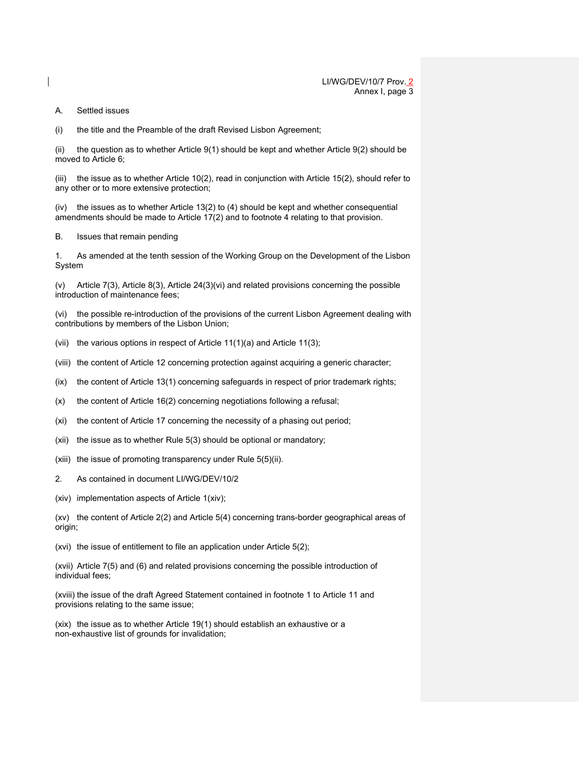#### A. Settled issues

(i) the title and the Preamble of the draft Revised Lisbon Agreement;

(ii) the question as to whether Article 9(1) should be kept and whether Article 9(2) should be moved to Article 6;

(iii) the issue as to whether Article 10(2), read in conjunction with Article 15(2), should refer to any other or to more extensive protection;

(iv) the issues as to whether Article 13(2) to (4) should be kept and whether consequential amendments should be made to Article 17(2) and to footnote 4 relating to that provision.

#### B. Issues that remain pending

1. As amended at the tenth session of the Working Group on the Development of the Lisbon System

(v) Article 7(3), Article 8(3), Article 24(3)(vi) and related provisions concerning the possible introduction of maintenance fees;

(vi) the possible re-introduction of the provisions of the current Lisbon Agreement dealing with contributions by members of the Lisbon Union;

- (vii) the various options in respect of Article 11(1)(a) and Article 11(3);
- (viii) the content of Article 12 concerning protection against acquiring a generic character;
- (ix) the content of Article 13(1) concerning safeguards in respect of prior trademark rights;
- (x) the content of Article 16(2) concerning negotiations following a refusal;
- (xi) the content of Article 17 concerning the necessity of a phasing out period;
- (xii) the issue as to whether Rule 5(3) should be optional or mandatory;
- (xiii) the issue of promoting transparency under Rule 5(5)(ii).
- 2. As contained in document LI/WG/DEV/10/2
- (xiv) implementation aspects of Article 1(xiv);

(xv) the content of Article 2(2) and Article 5(4) concerning trans-border geographical areas of origin;

(xvi) the issue of entitlement to file an application under Article 5(2);

(xvii) Article 7(5) and (6) and related provisions concerning the possible introduction of individual fees;

(xviii) the issue of the draft Agreed Statement contained in footnote 1 to Article 11 and provisions relating to the same issue;

(xix) the issue as to whether Article 19(1) should establish an exhaustive or a non-exhaustive list of grounds for invalidation;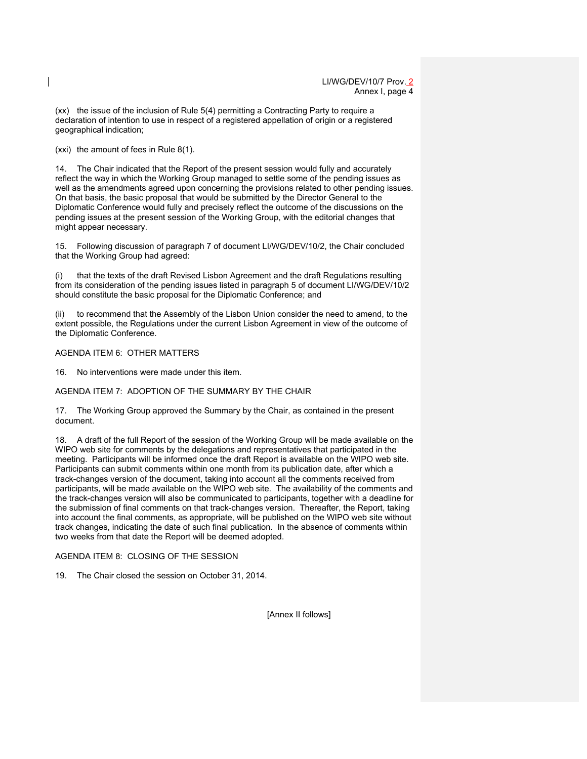(xx) the issue of the inclusion of Rule 5(4) permitting a Contracting Party to require a declaration of intention to use in respect of a registered appellation of origin or a registered geographical indication;

(xxi) the amount of fees in Rule 8(1).

14. The Chair indicated that the Report of the present session would fully and accurately reflect the way in which the Working Group managed to settle some of the pending issues as well as the amendments agreed upon concerning the provisions related to other pending issues. On that basis, the basic proposal that would be submitted by the Director General to the Diplomatic Conference would fully and precisely reflect the outcome of the discussions on the pending issues at the present session of the Working Group, with the editorial changes that might appear necessary.

15. Following discussion of paragraph 7 of document LI/WG/DEV/10/2, the Chair concluded that the Working Group had agreed:

(i) that the texts of the draft Revised Lisbon Agreement and the draft Regulations resulting from its consideration of the pending issues listed in paragraph 5 of document LI/WG/DEV/10/2 should constitute the basic proposal for the Diplomatic Conference; and

(ii) to recommend that the Assembly of the Lisbon Union consider the need to amend, to the extent possible, the Regulations under the current Lisbon Agreement in view of the outcome of the Diplomatic Conference.

# AGENDA ITEM 6: OTHER MATTERS

16. No interventions were made under this item.

AGENDA ITEM 7: ADOPTION OF THE SUMMARY BY THE CHAIR

17. The Working Group approved the Summary by the Chair, as contained in the present document.

18. A draft of the full Report of the session of the Working Group will be made available on the WIPO web site for comments by the delegations and representatives that participated in the meeting. Participants will be informed once the draft Report is available on the WIPO web site. Participants can submit comments within one month from its publication date, after which a track-changes version of the document, taking into account all the comments received from participants, will be made available on the WIPO web site. The availability of the comments and the track-changes version will also be communicated to participants, together with a deadline for the submission of final comments on that track-changes version. Thereafter, the Report, taking into account the final comments, as appropriate, will be published on the WIPO web site without track changes, indicating the date of such final publication. In the absence of comments within two weeks from that date the Report will be deemed adopted.

# AGENDA ITEM 8: CLOSING OF THE SESSION

19. The Chair closed the session on October 31, 2014.

[Annex II follows]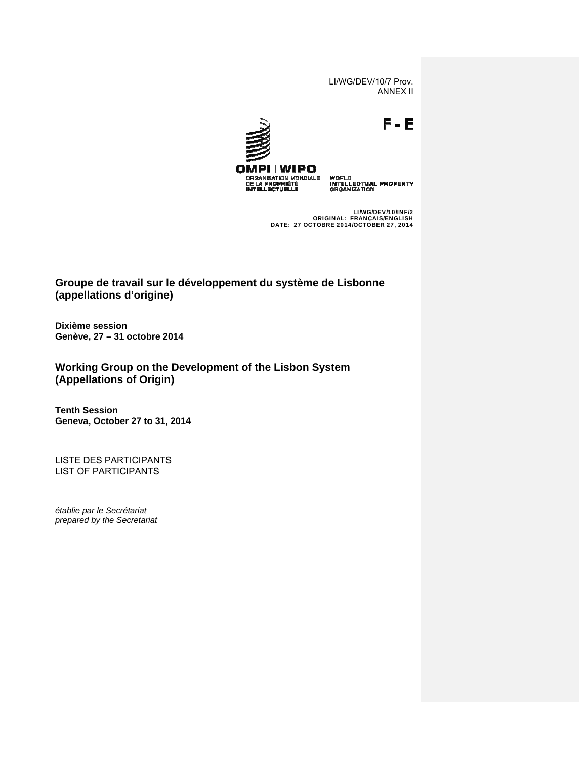LI/WG/DEV/10/7 Prov. ANNEX II



LI/WG/DEV/10/INF/2 ORIGINAL: FRANÇAIS/ENGLISH DATE: 27 OCTOBRE 2014/OCTOBER 27, 2014

**Groupe de travail sur le développement du système de Lisbonne (appellations d'origine)** 

**Dixième session Genève, 27 – 31 octobre 2014**

**Working Group on the Development of the Lisbon System (Appellations of Origin)** 

**Tenth Session Geneva, October 27 to 31, 2014**

LISTE DES PARTICIPANTS LIST OF PARTICIPANTS

*établie par le Secrétariat prepared by the Secretariat*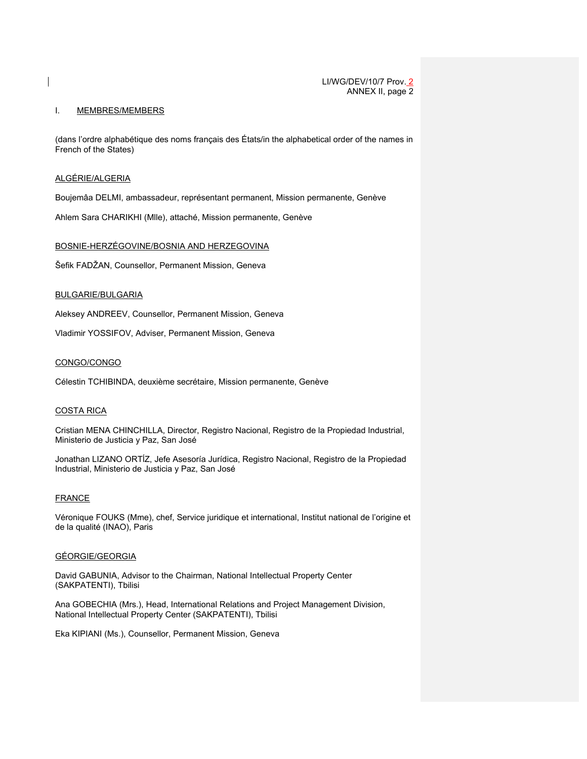#### I. MEMBRES/MEMBERS

(dans l'ordre alphabétique des noms français des États/in the alphabetical order of the names in French of the States)

### ALGÉRIE/ALGERIA

Boujemâa DELMI, ambassadeur, représentant permanent, Mission permanente, Genève

Ahlem Sara CHARIKHI (Mlle), attaché, Mission permanente, Genève

#### BOSNIE-HERZÉGOVINE/BOSNIA AND HERZEGOVINA

Šefik FADŽAN, Counsellor, Permanent Mission, Geneva

# BULGARIE/BULGARIA

Aleksey ANDREEV, Counsellor, Permanent Mission, Geneva

Vladimir YOSSIFOV, Adviser, Permanent Mission, Geneva

### CONGO/CONGO

Célestin TCHIBINDA, deuxième secrétaire, Mission permanente, Genève

# COSTA RICA

Cristian MENA CHINCHILLA, Director, Registro Nacional, Registro de la Propiedad Industrial, Ministerio de Justicia y Paz, San José

Jonathan LIZANO ORTĺZ, Jefe Asesoría Jurídica, Registro Nacional, Registro de la Propiedad Industrial, Ministerio de Justicia y Paz, San José

#### FRANCE

Véronique FOUKS (Mme), chef, Service juridique et international, Institut national de l'origine et de la qualité (INAO), Paris

#### GÉORGIE/GEORGIA

David GABUNIA, Advisor to the Chairman, National Intellectual Property Center (SAKPATENTI), Tbilisi

Ana GOBECHIA (Mrs.), Head, International Relations and Project Management Division, National Intellectual Property Center (SAKPATENTI), Tbilisi

Eka KIPIANI (Ms.), Counsellor, Permanent Mission, Geneva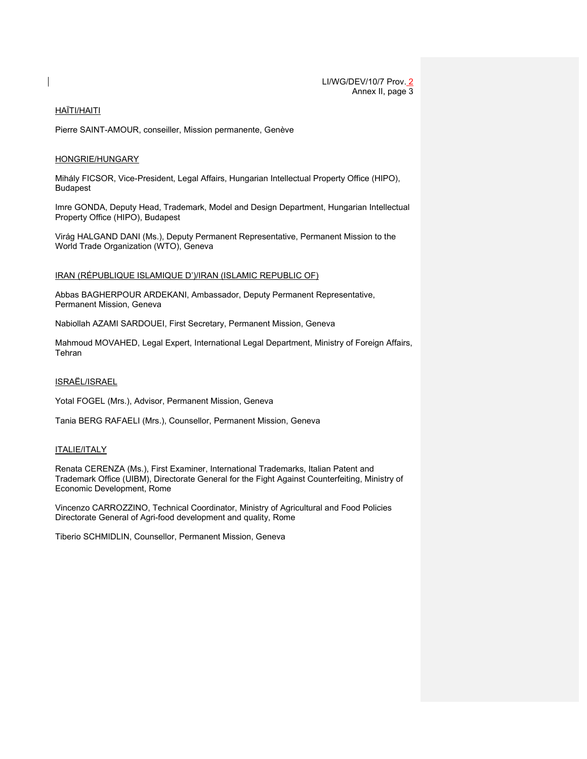# HAÏTI/HAITI

Pierre SAINT-AMOUR, conseiller, Mission permanente, Genève

#### HONGRIE/HUNGARY

Mihály FICSOR, Vice-President, Legal Affairs, Hungarian Intellectual Property Office (HIPO), Budapest

Imre GONDA, Deputy Head, Trademark, Model and Design Department, Hungarian Intellectual Property Office (HIPO), Budapest

Virág HALGAND DANI (Ms.), Deputy Permanent Representative, Permanent Mission to the World Trade Organization (WTO), Geneva

### IRAN (RÉPUBLIQUE ISLAMIQUE D')/IRAN (ISLAMIC REPUBLIC OF)

Abbas BAGHERPOUR ARDEKANI, Ambassador, Deputy Permanent Representative, Permanent Mission, Geneva

Nabiollah AZAMI SARDOUEI, First Secretary, Permanent Mission, Geneva

Mahmoud MOVAHED, Legal Expert, International Legal Department, Ministry of Foreign Affairs, Tehran

ISRAËL/ISRAEL

Yotal FOGEL (Mrs.), Advisor, Permanent Mission, Geneva

Tania BERG RAFAELI (Mrs.), Counsellor, Permanent Mission, Geneva

#### ITALIE/ITALY

Renata CERENZA (Ms.), First Examiner, International Trademarks, Italian Patent and Trademark Office (UIBM), Directorate General for the Fight Against Counterfeiting, Ministry of Economic Development, Rome

Vincenzo CARROZZINO, Technical Coordinator, Ministry of Agricultural and Food Policies Directorate General of Agri-food development and quality, Rome

Tiberio SCHMIDLIN, Counsellor, Permanent Mission, Geneva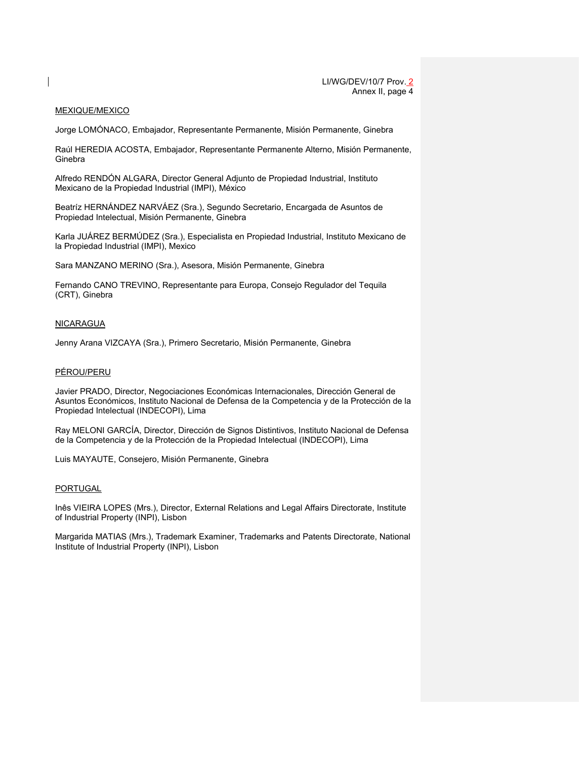#### MEXIQUE/MEXICO

Jorge LOMÓNACO, Embajador, Representante Permanente, Misión Permanente, Ginebra

Raúl HEREDIA ACOSTA, Embajador, Representante Permanente Alterno, Misión Permanente, **Ginebra** 

Alfredo RENDÓN ALGARA, Director General Adjunto de Propiedad Industrial, Instituto Mexicano de la Propiedad Industrial (IMPI), México

Beatríz HERNÁNDEZ NARVÁEZ (Sra.), Segundo Secretario, Encargada de Asuntos de Propiedad Intelectual, Misión Permanente, Ginebra

Karla JUÁREZ BERMÚDEZ (Sra.), Especialista en Propiedad Industrial, Instituto Mexicano de la Propiedad Industrial (IMPI), Mexico

Sara MANZANO MERINO (Sra.), Asesora, Misión Permanente, Ginebra

Fernando CANO TREVINO, Representante para Europa, Consejo Regulador del Tequila (CRT), Ginebra

#### NICARAGUA

Jenny Arana VIZCAYA (Sra.), Primero Secretario, Misión Permanente, Ginebra

#### PÉROU/PERU

Javier PRADO, Director, Negociaciones Económicas Internacionales, Dirección General de Asuntos Económicos, Instituto Nacional de Defensa de la Competencia y de la Protección de la Propiedad Intelectual (INDECOPI), Lima

Ray MELONI GARCÍA, Director, Dirección de Signos Distintivos, Instituto Nacional de Defensa de la Competencia y de la Protección de la Propiedad Intelectual (INDECOPI), Lima

Luis MAYAUTE, Consejero, Misión Permanente, Ginebra

#### PORTUGAL

Inês VIEIRA LOPES (Mrs.), Director, External Relations and Legal Affairs Directorate, Institute of Industrial Property (INPI), Lisbon

Margarida MATIAS (Mrs.), Trademark Examiner, Trademarks and Patents Directorate, National Institute of Industrial Property (INPI), Lisbon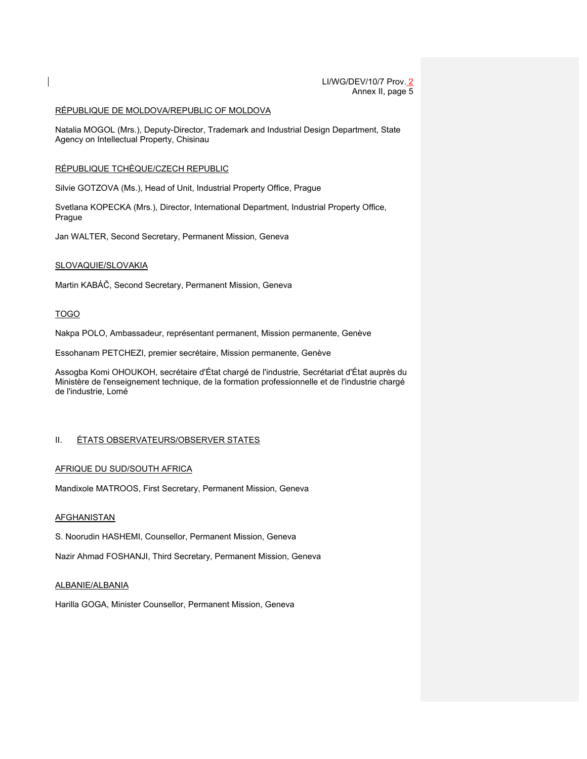#### RÉPUBLIQUE DE MOLDOVA/REPUBLIC OF MOLDOVA

Natalia MOGOL (Mrs.), Deputy-Director, Trademark and Industrial Design Department, State Agency on Intellectual Property, Chisinau

### RÉPUBLIQUE TCHÈQUE/CZECH REPUBLIC

Silvie GOTZOVA (Ms.), Head of Unit, Industrial Property Office, Prague

Svetlana KOPECKA (Mrs.), Director, International Department, Industrial Property Office, Prague

Jan WALTER, Second Secretary, Permanent Mission, Geneva

### SLOVAQUIE/SLOVAKIA

Martin KABÁČ, Second Secretary, Permanent Mission, Geneva

# TOGO

Nakpa POLO, Ambassadeur, représentant permanent, Mission permanente, Genève

Essohanam PETCHEZI, premier secrétaire, Mission permanente, Genève

Assogba Komi OHOUKOH, secrétaire d'État chargé de l'industrie, Secrétariat d'État auprès du Ministère de l'enseignement technique, de la formation professionnelle et de l'industrie chargé de l'industrie, Lomé

# II. ÉTATS OBSERVATEURS/OBSERVER STATES

# AFRIQUE DU SUD/SOUTH AFRICA

Mandixole MATROOS, First Secretary, Permanent Mission, Geneva

#### **AFGHANISTAN**

S. Noorudin HASHEMI, Counsellor, Permanent Mission, Geneva

Nazir Ahmad FOSHANJI, Third Secretary, Permanent Mission, Geneva

### ALBANIE/ALBANIA

Harilla GOGA, Minister Counsellor, Permanent Mission, Geneva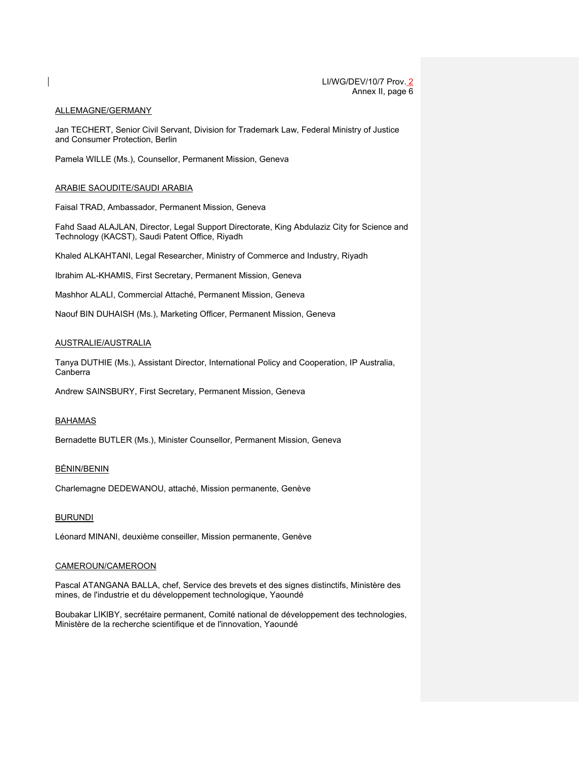#### ALLEMAGNE/GERMANY

Jan TECHERT, Senior Civil Servant, Division for Trademark Law, Federal Ministry of Justice and Consumer Protection, Berlin

Pamela WILLE (Ms.), Counsellor, Permanent Mission, Geneva

#### ARABIE SAOUDITE/SAUDI ARABIA

Faisal TRAD, Ambassador, Permanent Mission, Geneva

Fahd Saad ALAJLAN, Director, Legal Support Directorate, King Abdulaziz City for Science and Technology (KACST), Saudi Patent Office, Riyadh

Khaled ALKAHTANI, Legal Researcher, Ministry of Commerce and Industry, Riyadh

Ibrahim AL-KHAMIS, First Secretary, Permanent Mission, Geneva

Mashhor ALALI, Commercial Attaché, Permanent Mission, Geneva

Naouf BIN DUHAISH (Ms.), Marketing Officer, Permanent Mission, Geneva

#### AUSTRALIE/AUSTRALIA

Tanya DUTHIE (Ms.), Assistant Director, International Policy and Cooperation, IP Australia, Canberra

Andrew SAINSBURY, First Secretary, Permanent Mission, Geneva

#### BAHAMAS

Bernadette BUTLER (Ms.), Minister Counsellor, Permanent Mission, Geneva

# BÉNIN/BENIN

Charlemagne DEDEWANOU, attaché, Mission permanente, Genève

#### **BURUNDI**

Léonard MINANI, deuxième conseiller, Mission permanente, Genève

#### CAMEROUN/CAMEROON

Pascal ATANGANA BALLA, chef, Service des brevets et des signes distinctifs, Ministère des mines, de l'industrie et du développement technologique, Yaoundé

Boubakar LIKIBY, secrétaire permanent, Comité national de développement des technologies, Ministère de la recherche scientifique et de l'innovation, Yaoundé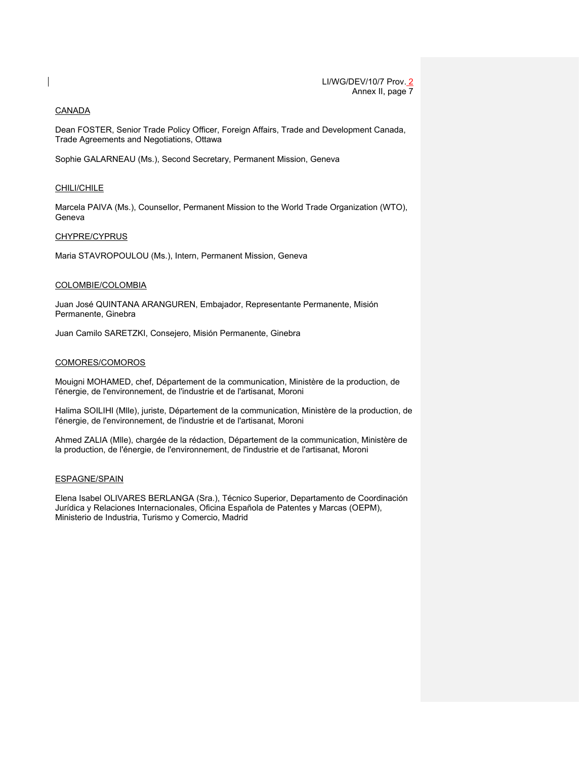### CANADA

Dean FOSTER, Senior Trade Policy Officer, Foreign Affairs, Trade and Development Canada, Trade Agreements and Negotiations, Ottawa

Sophie GALARNEAU (Ms.), Second Secretary, Permanent Mission, Geneva

### CHILI/CHILE

Marcela PAIVA (Ms.), Counsellor, Permanent Mission to the World Trade Organization (WTO), Geneva

### CHYPRE/CYPRUS

Maria STAVROPOULOU (Ms.), Intern, Permanent Mission, Geneva

#### COLOMBIE/COLOMBIA

Juan José QUINTANA ARANGUREN, Embajador, Representante Permanente, Misión Permanente, Ginebra

Juan Camilo SARETZKI, Consejero, Misión Permanente, Ginebra

# COMORES/COMOROS

Mouigni MOHAMED, chef, Département de la communication, Ministère de la production, de l'énergie, de l'environnement, de l'industrie et de l'artisanat, Moroni

Halima SOILIHI (Mlle), juriste, Département de la communication, Ministère de la production, de l'énergie, de l'environnement, de l'industrie et de l'artisanat, Moroni

Ahmed ZALIA (Mlle), chargée de la rédaction, Département de la communication, Ministère de la production, de l'énergie, de l'environnement, de l'industrie et de l'artisanat, Moroni

#### ESPAGNE/SPAIN

Elena Isabel OLIVARES BERLANGA (Sra.), Técnico Superior, Departamento de Coordinación Jurídica y Relaciones Internacionales, Oficina Española de Patentes y Marcas (OEPM), Ministerio de Industria, Turismo y Comercio, Madrid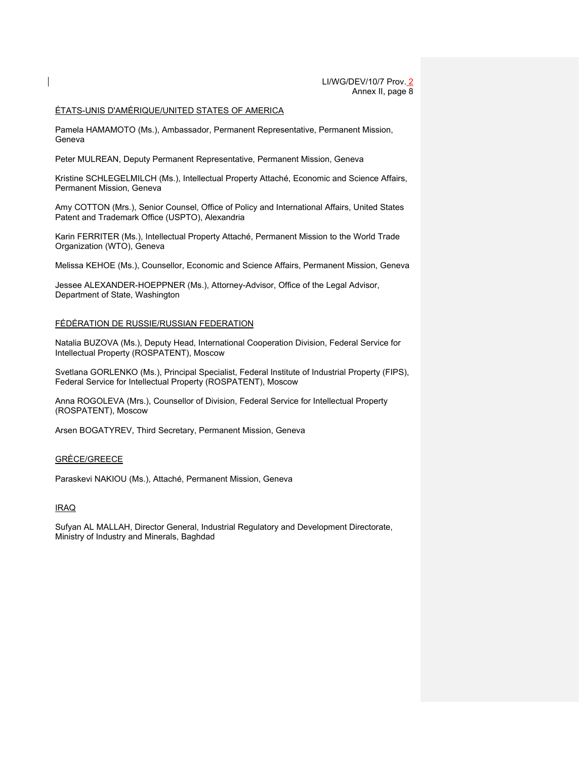# ÉTATS-UNIS D'AMÉRIQUE/UNITED STATES OF AMERICA

Pamela HAMAMOTO (Ms.), Ambassador, Permanent Representative, Permanent Mission, Geneva

Peter MULREAN, Deputy Permanent Representative, Permanent Mission, Geneva

Kristine SCHLEGELMILCH (Ms.), Intellectual Property Attaché, Economic and Science Affairs, Permanent Mission, Geneva

Amy COTTON (Mrs.), Senior Counsel, Office of Policy and International Affairs, United States Patent and Trademark Office (USPTO), Alexandria

Karin FERRITER (Ms.), Intellectual Property Attaché, Permanent Mission to the World Trade Organization (WTO), Geneva

Melissa KEHOE (Ms.), Counsellor, Economic and Science Affairs, Permanent Mission, Geneva

Jessee ALEXANDER-HOEPPNER (Ms.), Attorney-Advisor, Office of the Legal Advisor, Department of State, Washington

#### FÉDÉRATION DE RUSSIE/RUSSIAN FEDERATION

Natalia BUZOVA (Ms.), Deputy Head, International Cooperation Division, Federal Service for Intellectual Property (ROSPATENT), Moscow

Svetlana GORLENKO (Ms.), Principal Specialist, Federal Institute of Industrial Property (FIPS), Federal Service for Intellectual Property (ROSPATENT), Moscow

Anna ROGOLEVA (Mrs.), Counsellor of Division, Federal Service for Intellectual Property (ROSPATENT), Moscow

Arsen BOGATYREV, Third Secretary, Permanent Mission, Geneva

### GRÈCE/GREECE

Paraskevi NAKIOU (Ms.), Attaché, Permanent Mission, Geneva

#### IRAQ

Sufyan AL MALLAH, Director General, Industrial Regulatory and Development Directorate, Ministry of Industry and Minerals, Baghdad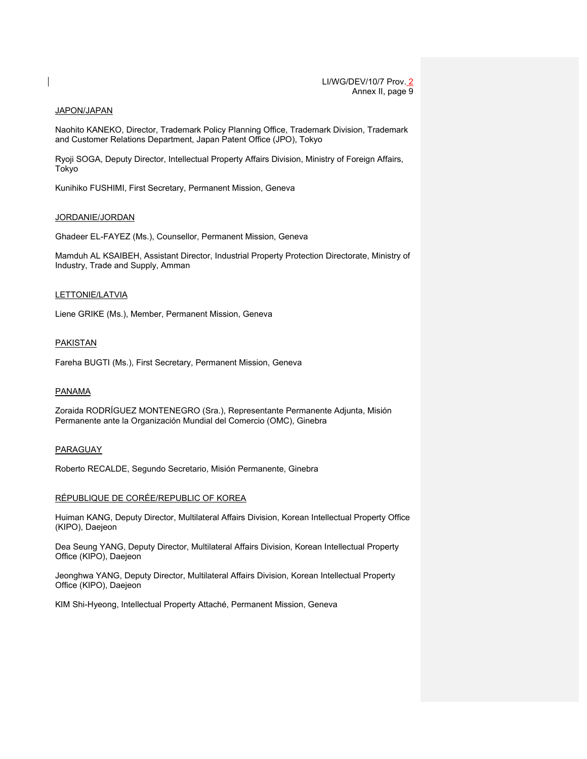#### JAPON/JAPAN

Naohito KANEKO, Director, Trademark Policy Planning Office, Trademark Division, Trademark and Customer Relations Department, Japan Patent Office (JPO), Tokyo

Ryoji SOGA, Deputy Director, Intellectual Property Affairs Division, Ministry of Foreign Affairs, Tokyo

Kunihiko FUSHIMI, First Secretary, Permanent Mission, Geneva

#### JORDANIE/JORDAN

Ghadeer EL-FAYEZ (Ms.), Counsellor, Permanent Mission, Geneva

Mamduh AL KSAIBEH, Assistant Director, Industrial Property Protection Directorate, Ministry of Industry, Trade and Supply, Amman

#### LETTONIE/LATVIA

Liene GRIKE (Ms.), Member, Permanent Mission, Geneva

#### **PAKISTAN**

Fareha BUGTI (Ms.), First Secretary, Permanent Mission, Geneva

#### PANAMA

Zoraida RODRÍGUEZ MONTENEGRO (Sra.), Representante Permanente Adjunta, Misión Permanente ante la Organización Mundial del Comercio (OMC), Ginebra

#### PARAGUAY

Roberto RECALDE, Segundo Secretario, Misión Permanente, Ginebra

#### RÉPUBLIQUE DE CORÉE/REPUBLIC OF KOREA

Huiman KANG, Deputy Director, Multilateral Affairs Division, Korean Intellectual Property Office (KIPO), Daejeon

Dea Seung YANG, Deputy Director, Multilateral Affairs Division, Korean Intellectual Property Office (KIPO), Daejeon

Jeonghwa YANG, Deputy Director, Multilateral Affairs Division, Korean Intellectual Property Office (KIPO), Daejeon

KIM Shi-Hyeong, Intellectual Property Attaché, Permanent Mission, Geneva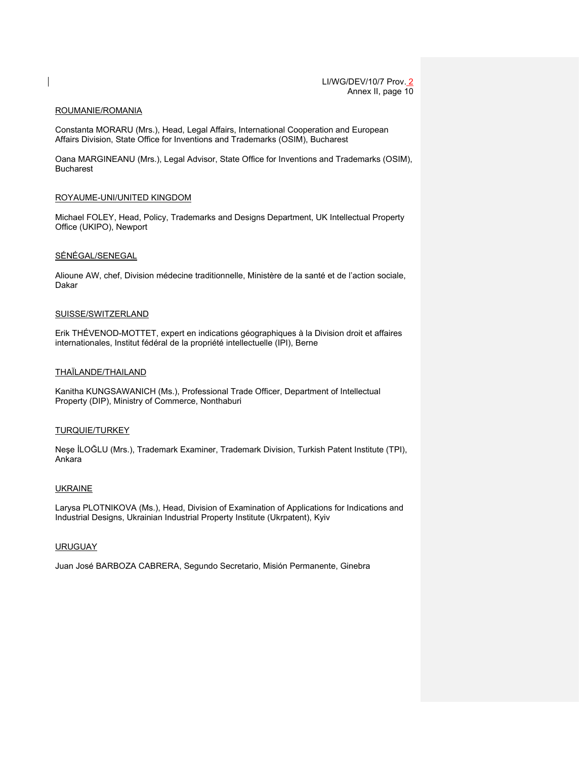#### ROUMANIE/ROMANIA

Constanta MORARU (Mrs.), Head, Legal Affairs, International Cooperation and European Affairs Division, State Office for Inventions and Trademarks (OSIM), Bucharest

Oana MARGINEANU (Mrs.), Legal Advisor, State Office for Inventions and Trademarks (OSIM), Bucharest

#### ROYAUME-UNI/UNITED KINGDOM

Michael FOLEY, Head, Policy, Trademarks and Designs Department, UK Intellectual Property Office (UKIPO), Newport

#### SÉNÉGAL/SENEGAL

Alioune AW, chef, Division médecine traditionnelle, Ministère de la santé et de l'action sociale, Dakar

#### SUISSE/SWITZERLAND

Erik THÉVENOD-MOTTET, expert en indications géographiques à la Division droit et affaires internationales, Institut fédéral de la propriété intellectuelle (IPI), Berne

#### THAÏLANDE/THAILAND

Kanitha KUNGSAWANICH (Ms.), Professional Trade Officer, Department of Intellectual Property (DIP), Ministry of Commerce, Nonthaburi

#### TURQUIE/TURKEY

Neşe İLOĞLU (Mrs.), Trademark Examiner, Trademark Division, Turkish Patent Institute (TPI), Ankara

#### UKRAINE

Larysa PLOTNIKOVA (Ms.), Head, Division of Examination of Applications for Indications and Industrial Designs, Ukrainian Industrial Property Institute (Ukrpatent), Kyiv

#### URUGUAY

Juan José BARBOZA CABRERA, Segundo Secretario, Misión Permanente, Ginebra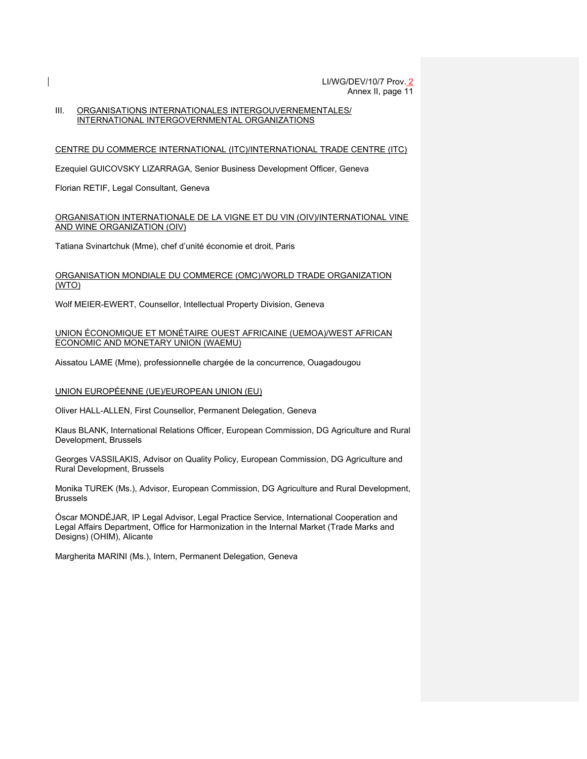### III. ORGANISATIONS INTERNATIONALES INTERGOUVERNEMENTALES/ INTERNATIONAL INTERGOVERNMENTAL ORGANIZATIONS

### CENTRE DU COMMERCE INTERNATIONAL (ITC)/INTERNATIONAL TRADE CENTRE (ITC)

Ezequiel GUICOVSKY LIZARRAGA, Senior Business Development Officer, Geneva

Florian RETIF, Legal Consultant, Geneva

#### ORGANISATION INTERNATIONALE DE LA VIGNE ET DU VIN (OIV)/INTERNATIONAL VINE AND WINE ORGANIZATION (OIV)

Tatiana Svinartchuk (Mme), chef d'unité économie et droit, Paris

#### ORGANISATION MONDIALE DU COMMERCE (OMC)/WORLD TRADE ORGANIZATION (WTO)

Wolf MEIER-EWERT, Counsellor, Intellectual Property Division, Geneva

### UNION ÉCONOMIQUE ET MONÉTAIRE OUEST AFRICAINE (UEMOA)/WEST AFRICAN ECONOMIC AND MONETARY UNION (WAEMU)

Aissatou LAME (Mme), professionnelle chargée de la concurrence, Ouagadougou

### UNION EUROPÉENNE (UE)/EUROPEAN UNION (EU)

Oliver HALL-ALLEN, First Counsellor, Permanent Delegation, Geneva

Klaus BLANK, International Relations Officer, European Commission, DG Agriculture and Rural Development, Brussels

Georges VASSILAKIS, Advisor on Quality Policy, European Commission, DG Agriculture and Rural Development, Brussels

Monika TUREK (Ms.), Advisor, European Commission, DG Agriculture and Rural Development, Brussels

Óscar MONDÉJAR, IP Legal Advisor, Legal Practice Service, International Cooperation and Legal Affairs Department, Office for Harmonization in the Internal Market (Trade Marks and Designs) (OHIM), Alicante

Margherita MARINI (Ms.), Intern, Permanent Delegation, Geneva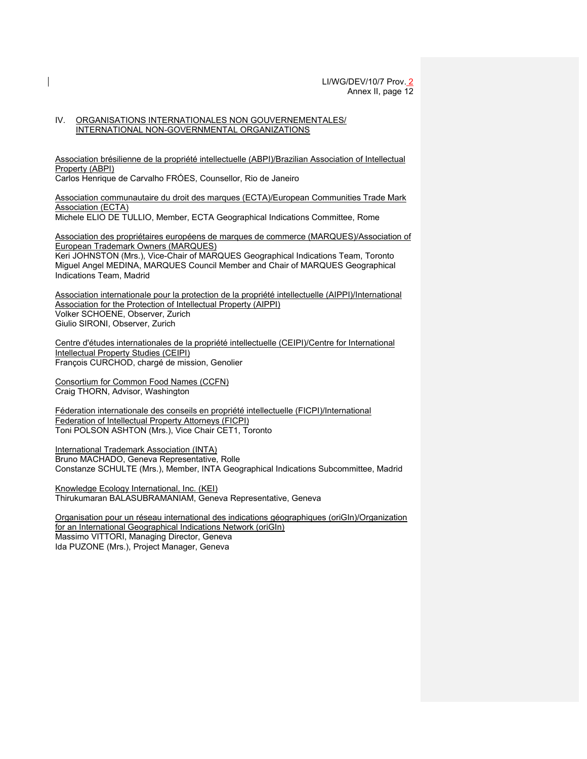#### IV. ORGANISATIONS INTERNATIONALES NON GOUVERNEMENTALES/ INTERNATIONAL NON-GOVERNMENTAL ORGANIZATIONS

Association brésilienne de la propriété intellectuelle (ABPI)/Brazilian Association of Intellectual Property (ABPI)

Carlos Henrique de Carvalho FRÓES, Counsellor, Rio de Janeiro

Association communautaire du droit des marques (ECTA)/European Communities Trade Mark Association (ECTA)

Michele ELIO DE TULLIO, Member, ECTA Geographical Indications Committee, Rome

Association des propriétaires européens de marques de commerce (MARQUES)/Association of European Trademark Owners (MARQUES)

Keri JOHNSTON (Mrs.), Vice-Chair of MARQUES Geographical Indications Team, Toronto Miguel Angel MEDINA, MARQUES Council Member and Chair of MARQUES Geographical Indications Team, Madrid

Association internationale pour la protection de la propriété intellectuelle (AIPPI)/International Association for the Protection of Intellectual Property (AIPPI) Volker SCHOENE, Observer, Zurich Giulio SIRONI, Observer, Zurich

Centre d'études internationales de la propriété intellectuelle (CEIPI)/Centre for International Intellectual Property Studies (CEIPI) François CURCHOD, chargé de mission, Genolier

Consortium for Common Food Names (CCFN) Craig THORN, Advisor, Washington

Féderation internationale des conseils en propriété intellectuelle (FICPI)/International Federation of Intellectual Property Attorneys (FICPI) Toni POLSON ASHTON (Mrs.), Vice Chair CET1, Toronto

International Trademark Association (INTA) Bruno MACHADO, Geneva Representative, Rolle Constanze SCHULTE (Mrs.), Member, INTA Geographical Indications Subcommittee, Madrid

Knowledge Ecology International, Inc. (KEI) Thirukumaran BALASUBRAMANIAM, Geneva Representative, Geneva

Organisation pour un réseau international des indications géographiques (oriGIn)/Organization for an International Geographical Indications Network (oriGIn) Massimo VITTORI, Managing Director, Geneva Ida PUZONE (Mrs.), Project Manager, Geneva